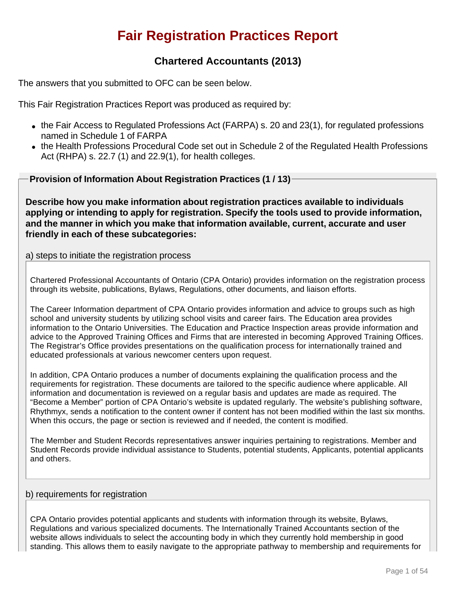# **Fair Registration Practices Report**

## **Chartered Accountants (2013)**

The answers that you submitted to OFC can be seen below.

This Fair Registration Practices Report was produced as required by:

- $\bullet$  the Fair Access to Regulated Professions Act (FARPA) s. 20 and 23(1), for regulated professions named in Schedule 1 of FARPA
- the Health Professions Procedural Code set out in Schedule 2 of the Regulated Health Professions Act (RHPA) s. 22.7 (1) and 22.9(1), for health colleges.

**Provision of Information About Registration Practices (1 / 13)**

**Describe how you make information about registration practices available to individuals applying or intending to apply for registration. Specify the tools used to provide information, and the manner in which you make that information available, current, accurate and user friendly in each of these subcategories:**

## a) steps to initiate the registration process

Chartered Professional Accountants of Ontario (CPA Ontario) provides information on the registration process through its website, publications, Bylaws, Regulations, other documents, and liaison efforts.

The Career Information department of CPA Ontario provides information and advice to groups such as high school and university students by utilizing school visits and career fairs. The Education area provides information to the Ontario Universities. The Education and Practice Inspection areas provide information and advice to the Approved Training Offices and Firms that are interested in becoming Approved Training Offices. The Registrar's Office provides presentations on the qualification process for internationally trained and educated professionals at various newcomer centers upon request.

In addition, CPA Ontario produces a number of documents explaining the qualification process and the requirements for registration. These documents are tailored to the specific audience where applicable. All information and documentation is reviewed on a regular basis and updates are made as required. The "Become a Member" portion of CPA Ontario's website is updated regularly. The website's publishing software, Rhythmyx, sends a notification to the content owner if content has not been modified within the last six months. When this occurs, the page or section is reviewed and if needed, the content is modified.

The Member and Student Records representatives answer inquiries pertaining to registrations. Member and Student Records provide individual assistance to Students, potential students, Applicants, potential applicants and others.

## b) requirements for registration

CPA Ontario provides potential applicants and students with information through its website, Bylaws, Regulations and various specialized documents. The Internationally Trained Accountants section of the website allows individuals to select the accounting body in which they currently hold membership in good standing. This allows them to easily navigate to the appropriate pathway to membership and requirements for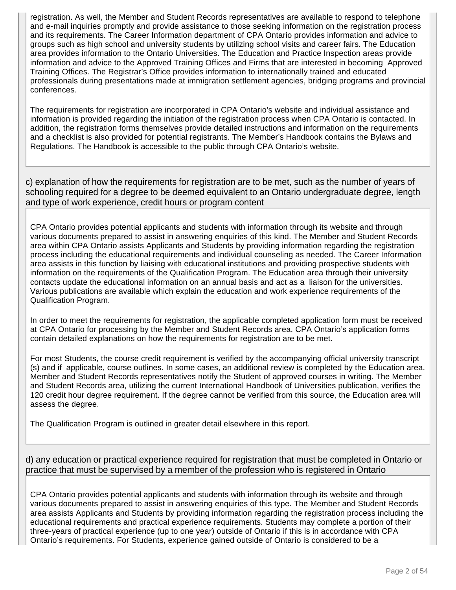registration. As well, the Member and Student Records representatives are available to respond to telephone and e-mail inquiries promptly and provide assistance to those seeking information on the registration process and its requirements. The Career Information department of CPA Ontario provides information and advice to groups such as high school and university students by utilizing school visits and career fairs. The Education area provides information to the Ontario Universities. The Education and Practice Inspection areas provide information and advice to the Approved Training Offices and Firms that are interested in becoming Approved Training Offices. The Registrar's Office provides information to internationally trained and educated professionals during presentations made at immigration settlement agencies, bridging programs and provincial conferences.

The requirements for registration are incorporated in CPA Ontario's website and individual assistance and information is provided regarding the initiation of the registration process when CPA Ontario is contacted. In addition, the registration forms themselves provide detailed instructions and information on the requirements and a checklist is also provided for potential registrants. The Member's Handbook contains the Bylaws and Regulations. The Handbook is accessible to the public through CPA Ontario's website.

c) explanation of how the requirements for registration are to be met, such as the number of years of schooling required for a degree to be deemed equivalent to an Ontario undergraduate degree, length and type of work experience, credit hours or program content

CPA Ontario provides potential applicants and students with information through its website and through various documents prepared to assist in answering enquiries of this kind. The Member and Student Records area within CPA Ontario assists Applicants and Students by providing information regarding the registration process including the educational requirements and individual counseling as needed. The Career Information area assists in this function by liaising with educational institutions and providing prospective students with information on the requirements of the Qualification Program. The Education area through their university contacts update the educational information on an annual basis and act as a liaison for the universities. Various publications are available which explain the education and work experience requirements of the Qualification Program.

In order to meet the requirements for registration, the applicable completed application form must be received at CPA Ontario for processing by the Member and Student Records area. CPA Ontario's application forms contain detailed explanations on how the requirements for registration are to be met.

For most Students, the course credit requirement is verified by the accompanying official university transcript (s) and if applicable, course outlines. In some cases, an additional review is completed by the Education area. Member and Student Records representatives notify the Student of approved courses in writing. The Member and Student Records area, utilizing the current International Handbook of Universities publication, verifies the 120 credit hour degree requirement. If the degree cannot be verified from this source, the Education area will assess the degree.

The Qualification Program is outlined in greater detail elsewhere in this report.

## d) any education or practical experience required for registration that must be completed in Ontario or practice that must be supervised by a member of the profession who is registered in Ontario

CPA Ontario provides potential applicants and students with information through its website and through various documents prepared to assist in answering enquiries of this type. The Member and Student Records area assists Applicants and Students by providing information regarding the registration process including the educational requirements and practical experience requirements. Students may complete a portion of their three-years of practical experience (up to one year) outside of Ontario if this is in accordance with CPA Ontario's requirements. For Students, experience gained outside of Ontario is considered to be a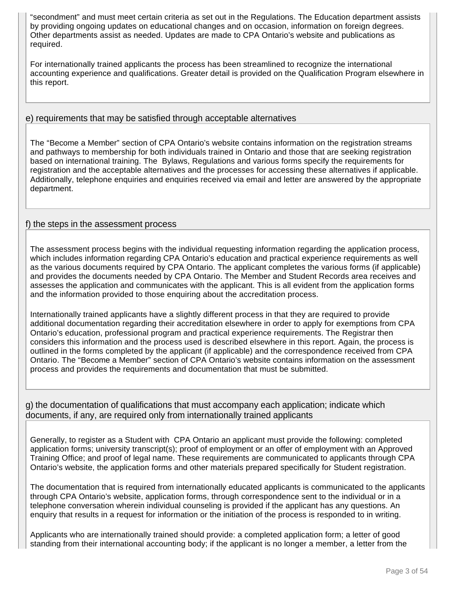"secondment" and must meet certain criteria as set out in the Regulations. The Education department assists by providing ongoing updates on educational changes and on occasion, information on foreign degrees. Other departments assist as needed. Updates are made to CPA Ontario's website and publications as required.

For internationally trained applicants the process has been streamlined to recognize the international accounting experience and qualifications. Greater detail is provided on the Qualification Program elsewhere in this report.

## e) requirements that may be satisfied through acceptable alternatives

The "Become a Member" section of CPA Ontario's website contains information on the registration streams and pathways to membership for both individuals trained in Ontario and those that are seeking registration based on international training. The Bylaws, Regulations and various forms specify the requirements for registration and the acceptable alternatives and the processes for accessing these alternatives if applicable. Additionally, telephone enquiries and enquiries received via email and letter are answered by the appropriate department.

## f) the steps in the assessment process

The assessment process begins with the individual requesting information regarding the application process, which includes information regarding CPA Ontario's education and practical experience requirements as well as the various documents required by CPA Ontario. The applicant completes the various forms (if applicable) and provides the documents needed by CPA Ontario. The Member and Student Records area receives and assesses the application and communicates with the applicant. This is all evident from the application forms and the information provided to those enquiring about the accreditation process.

Internationally trained applicants have a slightly different process in that they are required to provide additional documentation regarding their accreditation elsewhere in order to apply for exemptions from CPA Ontario's education, professional program and practical experience requirements. The Registrar then considers this information and the process used is described elsewhere in this report. Again, the process is outlined in the forms completed by the applicant (if applicable) and the correspondence received from CPA Ontario. The "Become a Member" section of CPA Ontario's website contains information on the assessment process and provides the requirements and documentation that must be submitted.

g) the documentation of qualifications that must accompany each application; indicate which documents, if any, are required only from internationally trained applicants

Generally, to register as a Student with CPA Ontario an applicant must provide the following: completed application forms; university transcript(s); proof of employment or an offer of employment with an Approved Training Office; and proof of legal name. These requirements are communicated to applicants through CPA Ontario's website, the application forms and other materials prepared specifically for Student registration.

The documentation that is required from internationally educated applicants is communicated to the applicants through CPA Ontario's website, application forms, through correspondence sent to the individual or in a telephone conversation wherein individual counseling is provided if the applicant has any questions. An enquiry that results in a request for information or the initiation of the process is responded to in writing.

Applicants who are internationally trained should provide: a completed application form; a letter of good standing from their international accounting body; if the applicant is no longer a member, a letter from the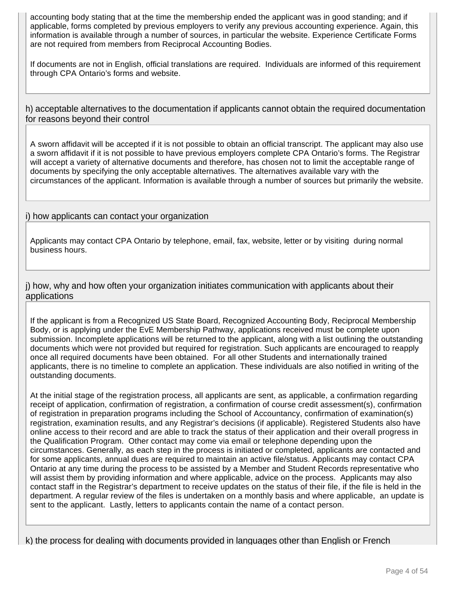accounting body stating that at the time the membership ended the applicant was in good standing; and if applicable, forms completed by previous employers to verify any previous accounting experience. Again, this information is available through a number of sources, in particular the website. Experience Certificate Forms are not required from members from Reciprocal Accounting Bodies.

If documents are not in English, official translations are required. Individuals are informed of this requirement through CPA Ontario's forms and website.

h) acceptable alternatives to the documentation if applicants cannot obtain the required documentation for reasons beyond their control

A sworn affidavit will be accepted if it is not possible to obtain an official transcript. The applicant may also use a sworn affidavit if it is not possible to have previous employers complete CPA Ontario's forms. The Registrar will accept a variety of alternative documents and therefore, has chosen not to limit the acceptable range of documents by specifying the only acceptable alternatives. The alternatives available vary with the circumstances of the applicant. Information is available through a number of sources but primarily the website.

## i) how applicants can contact your organization

Applicants may contact CPA Ontario by telephone, email, fax, website, letter or by visiting during normal business hours.

j) how, why and how often your organization initiates communication with applicants about their applications

If the applicant is from a Recognized US State Board, Recognized Accounting Body, Reciprocal Membership Body, or is applying under the EvE Membership Pathway, applications received must be complete upon submission. Incomplete applications will be returned to the applicant, along with a list outlining the outstanding documents which were not provided but required for registration. Such applicants are encouraged to reapply once all required documents have been obtained. For all other Students and internationally trained applicants, there is no timeline to complete an application. These individuals are also notified in writing of the outstanding documents.

At the initial stage of the registration process, all applicants are sent, as applicable, a confirmation regarding receipt of application, confirmation of registration, a confirmation of course credit assessment(s), confirmation of registration in preparation programs including the School of Accountancy, confirmation of examination(s) registration, examination results, and any Registrar's decisions (if applicable). Registered Students also have online access to their record and are able to track the status of their application and their overall progress in the Qualification Program. Other contact may come via email or telephone depending upon the circumstances. Generally, as each step in the process is initiated or completed, applicants are contacted and for some applicants, annual dues are required to maintain an active file/status. Applicants may contact CPA Ontario at any time during the process to be assisted by a Member and Student Records representative who will assist them by providing information and where applicable, advice on the process. Applicants may also contact staff in the Registrar's department to receive updates on the status of their file, if the file is held in the department. A regular review of the files is undertaken on a monthly basis and where applicable, an update is sent to the applicant. Lastly, letters to applicants contain the name of a contact person.

k) the process for dealing with documents provided in languages other than English or French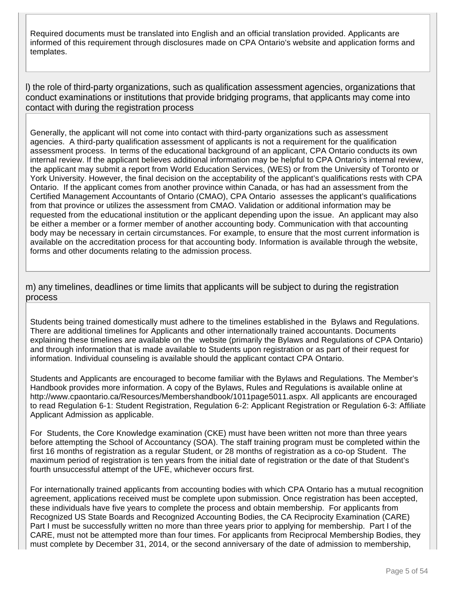Required documents must be translated into English and an official translation provided. Applicants are informed of this requirement through disclosures made on CPA Ontario's website and application forms and templates.

l) the role of third-party organizations, such as qualification assessment agencies, organizations that conduct examinations or institutions that provide bridging programs, that applicants may come into contact with during the registration process

Generally, the applicant will not come into contact with third-party organizations such as assessment agencies. A third-party qualification assessment of applicants is not a requirement for the qualification assessment process. In terms of the educational background of an applicant, CPA Ontario conducts its own internal review. If the applicant believes additional information may be helpful to CPA Ontario's internal review, the applicant may submit a report from World Education Services, (WES) or from the University of Toronto or York University. However, the final decision on the acceptability of the applicant's qualifications rests with CPA Ontario. If the applicant comes from another province within Canada, or has had an assessment from the Certified Management Accountants of Ontario (CMAO), CPA Ontario assesses the applicant's qualifications from that province or utilizes the assessment from CMAO. Validation or additional information may be requested from the educational institution or the applicant depending upon the issue. An applicant may also be either a member or a former member of another accounting body. Communication with that accounting body may be necessary in certain circumstances. For example, to ensure that the most current information is available on the accreditation process for that accounting body. Information is available through the website, forms and other documents relating to the admission process.

m) any timelines, deadlines or time limits that applicants will be subject to during the registration process

Students being trained domestically must adhere to the timelines established in the Bylaws and Regulations. There are additional timelines for Applicants and other internationally trained accountants. Documents explaining these timelines are available on the website (primarily the Bylaws and Regulations of CPA Ontario) and through information that is made available to Students upon registration or as part of their request for information. Individual counseling is available should the applicant contact CPA Ontario.

Students and Applicants are encouraged to become familiar with the Bylaws and Regulations. The Member's Handbook provides more information. A copy of the Bylaws, Rules and Regulations is available online at http://www.cpaontario.ca/Resources/Membershandbook/1011page5011.aspx. All applicants are encouraged to read Regulation 6-1: Student Registration, Regulation 6-2: Applicant Registration or Regulation 6-3: Affiliate Applicant Admission as applicable.

For Students, the Core Knowledge examination (CKE) must have been written not more than three years before attempting the School of Accountancy (SOA). The staff training program must be completed within the first 16 months of registration as a regular Student, or 28 months of registration as a co-op Student. The maximum period of registration is ten years from the initial date of registration or the date of that Student's fourth unsuccessful attempt of the UFE, whichever occurs first.

For internationally trained applicants from accounting bodies with which CPA Ontario has a mutual recognition agreement, applications received must be complete upon submission. Once registration has been accepted, these individuals have five years to complete the process and obtain membership. For applicants from Recognized US State Boards and Recognized Accounting Bodies, the CA Reciprocity Examination (CARE) Part I must be successfully written no more than three years prior to applying for membership. Part I of the CARE, must not be attempted more than four times. For applicants from Reciprocal Membership Bodies, they must complete by December 31, 2014, or the second anniversary of the date of admission to membership,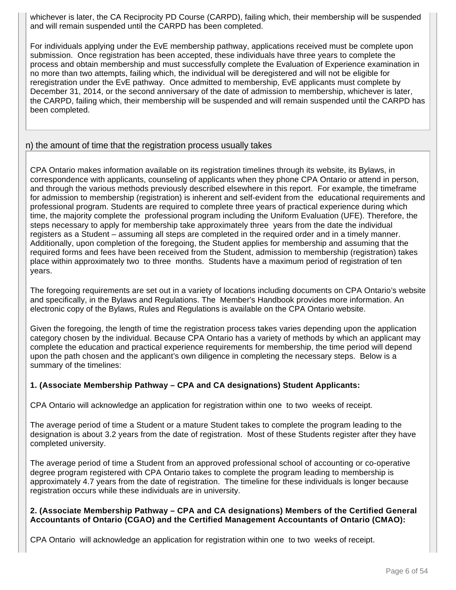whichever is later, the CA Reciprocity PD Course (CARPD), failing which, their membership will be suspended and will remain suspended until the CARPD has been completed.

For individuals applying under the EvE membership pathway, applications received must be complete upon submission. Once registration has been accepted, these individuals have three years to complete the process and obtain membership and must successfully complete the Evaluation of Experience examination in no more than two attempts, failing which, the individual will be deregistered and will not be eligible for reregistration under the EvE pathway. Once admitted to membership, EvE applicants must complete by December 31, 2014, or the second anniversary of the date of admission to membership, whichever is later, the CARPD, failing which, their membership will be suspended and will remain suspended until the CARPD has been completed.

#### n) the amount of time that the registration process usually takes

CPA Ontario makes information available on its registration timelines through its website, its Bylaws, in correspondence with applicants, counseling of applicants when they phone CPA Ontario or attend in person, and through the various methods previously described elsewhere in this report. For example, the timeframe for admission to membership (registration) is inherent and self-evident from the educational requirements and professional program. Students are required to complete three years of practical experience during which time, the majority complete the professional program including the Uniform Evaluation (UFE). Therefore, the steps necessary to apply for membership take approximately three years from the date the individual registers as a Student – assuming all steps are completed in the required order and in a timely manner. Additionally, upon completion of the foregoing, the Student applies for membership and assuming that the required forms and fees have been received from the Student, admission to membership (registration) takes place within approximately two to three months. Students have a maximum period of registration of ten years.

The foregoing requirements are set out in a variety of locations including documents on CPA Ontario's website and specifically, in the Bylaws and Regulations. The Member's Handbook provides more information. An electronic copy of the Bylaws, Rules and Regulations is available on the CPA Ontario website.

Given the foregoing, the length of time the registration process takes varies depending upon the application category chosen by the individual. Because CPA Ontario has a variety of methods by which an applicant may complete the education and practical experience requirements for membership, the time period will depend upon the path chosen and the applicant's own diligence in completing the necessary steps. Below is a summary of the timelines:

#### **1. (Associate Membership Pathway – CPA and CA designations) Student Applicants:**

CPA Ontario will acknowledge an application for registration within one to two weeks of receipt.

The average period of time a Student or a mature Student takes to complete the program leading to the designation is about 3.2 years from the date of registration. Most of these Students register after they have completed university.

The average period of time a Student from an approved professional school of accounting or co-operative degree program registered with CPA Ontario takes to complete the program leading to membership is approximately 4.7 years from the date of registration. The timeline for these individuals is longer because registration occurs while these individuals are in university.

#### **2. (Associate Membership Pathway – CPA and CA designations) Members of the Certified General Accountants of Ontario (CGAO) and the Certified Management Accountants of Ontario (CMAO):**

CPA Ontario will acknowledge an application for registration within one to two weeks of receipt.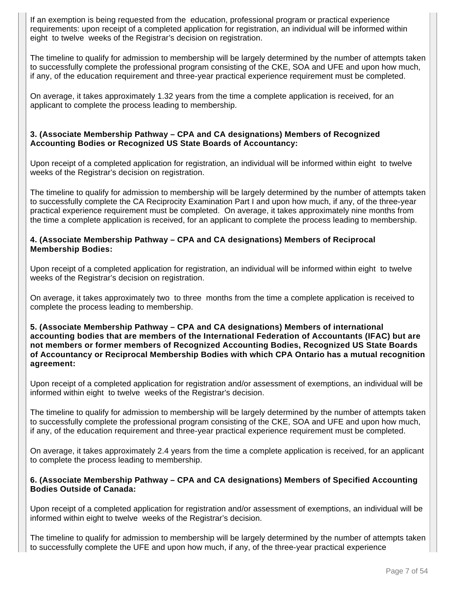If an exemption is being requested from the education, professional program or practical experience requirements: upon receipt of a completed application for registration, an individual will be informed within eight to twelve weeks of the Registrar's decision on registration.

The timeline to qualify for admission to membership will be largely determined by the number of attempts taken to successfully complete the professional program consisting of the CKE, SOA and UFE and upon how much, if any, of the education requirement and three-year practical experience requirement must be completed.

On average, it takes approximately 1.32 years from the time a complete application is received, for an applicant to complete the process leading to membership.

#### **3. (Associate Membership Pathway – CPA and CA designations) Members of Recognized Accounting Bodies or Recognized US State Boards of Accountancy:**

Upon receipt of a completed application for registration, an individual will be informed within eight to twelve weeks of the Registrar's decision on registration.

The timeline to qualify for admission to membership will be largely determined by the number of attempts taken to successfully complete the CA Reciprocity Examination Part I and upon how much, if any, of the three-year practical experience requirement must be completed. On average, it takes approximately nine months from the time a complete application is received, for an applicant to complete the process leading to membership.

#### **4. (Associate Membership Pathway – CPA and CA designations) Members of Reciprocal Membership Bodies:**

Upon receipt of a completed application for registration, an individual will be informed within eight to twelve weeks of the Registrar's decision on registration.

On average, it takes approximately two to three months from the time a complete application is received to complete the process leading to membership.

#### **5. (Associate Membership Pathway – CPA and CA designations) Members of international accounting bodies that are members of the International Federation of Accountants (IFAC) but are not members or former members of Recognized Accounting Bodies, Recognized US State Boards of Accountancy or Reciprocal Membership Bodies with which CPA Ontario has a mutual recognition agreement:**

Upon receipt of a completed application for registration and/or assessment of exemptions, an individual will be informed within eight to twelve weeks of the Registrar's decision.

The timeline to qualify for admission to membership will be largely determined by the number of attempts taken to successfully complete the professional program consisting of the CKE, SOA and UFE and upon how much, if any, of the education requirement and three-year practical experience requirement must be completed.

On average, it takes approximately 2.4 years from the time a complete application is received, for an applicant to complete the process leading to membership.

#### **6. (Associate Membership Pathway – CPA and CA designations) Members of Specified Accounting Bodies Outside of Canada:**

Upon receipt of a completed application for registration and/or assessment of exemptions, an individual will be informed within eight to twelve weeks of the Registrar's decision.

The timeline to qualify for admission to membership will be largely determined by the number of attempts taken to successfully complete the UFE and upon how much, if any, of the three-year practical experience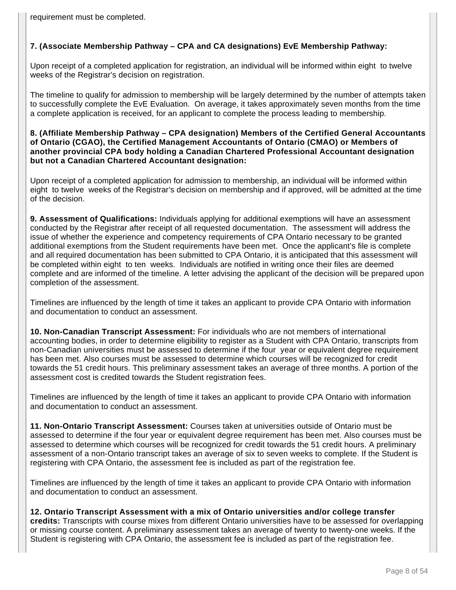requirement must be completed.

## **7. (Associate Membership Pathway – CPA and CA designations) EvE Membership Pathway:**

Upon receipt of a completed application for registration, an individual will be informed within eight to twelve weeks of the Registrar's decision on registration.

The timeline to qualify for admission to membership will be largely determined by the number of attempts taken to successfully complete the EvE Evaluation. On average, it takes approximately seven months from the time a complete application is received, for an applicant to complete the process leading to membership.

#### **8. (Affiliate Membership Pathway – CPA designation) Members of the Certified General Accountants of Ontario (CGAO), the Certified Management Accountants of Ontario (CMAO) or Members of another provincial CPA body holding a Canadian Chartered Professional Accountant designation but not a Canadian Chartered Accountant designation:**

Upon receipt of a completed application for admission to membership, an individual will be informed within eight to twelve weeks of the Registrar's decision on membership and if approved, will be admitted at the time of the decision.

**9. Assessment of Qualifications:** Individuals applying for additional exemptions will have an assessment conducted by the Registrar after receipt of all requested documentation. The assessment will address the issue of whether the experience and competency requirements of CPA Ontario necessary to be granted additional exemptions from the Student requirements have been met. Once the applicant's file is complete and all required documentation has been submitted to CPA Ontario, it is anticipated that this assessment will be completed within eight to ten weeks. Individuals are notified in writing once their files are deemed complete and are informed of the timeline. A letter advising the applicant of the decision will be prepared upon completion of the assessment.

Timelines are influenced by the length of time it takes an applicant to provide CPA Ontario with information and documentation to conduct an assessment.

**10. Non-Canadian Transcript Assessment:** For individuals who are not members of international accounting bodies, in order to determine eligibility to register as a Student with CPA Ontario, transcripts from non-Canadian universities must be assessed to determine if the four year or equivalent degree requirement has been met. Also courses must be assessed to determine which courses will be recognized for credit towards the 51 credit hours. This preliminary assessment takes an average of three months. A portion of the assessment cost is credited towards the Student registration fees.

Timelines are influenced by the length of time it takes an applicant to provide CPA Ontario with information and documentation to conduct an assessment.

**11. Non-Ontario Transcript Assessment:** Courses taken at universities outside of Ontario must be assessed to determine if the four year or equivalent degree requirement has been met. Also courses must be assessed to determine which courses will be recognized for credit towards the 51 credit hours. A preliminary assessment of a non-Ontario transcript takes an average of six to seven weeks to complete. If the Student is registering with CPA Ontario, the assessment fee is included as part of the registration fee.

Timelines are influenced by the length of time it takes an applicant to provide CPA Ontario with information and documentation to conduct an assessment.

**12. Ontario Transcript Assessment with a mix of Ontario universities and/or college transfer credits:** Transcripts with course mixes from different Ontario universities have to be assessed for overlapping or missing course content. A preliminary assessment takes an average of twenty to twenty-one weeks. If the Student is registering with CPA Ontario, the assessment fee is included as part of the registration fee.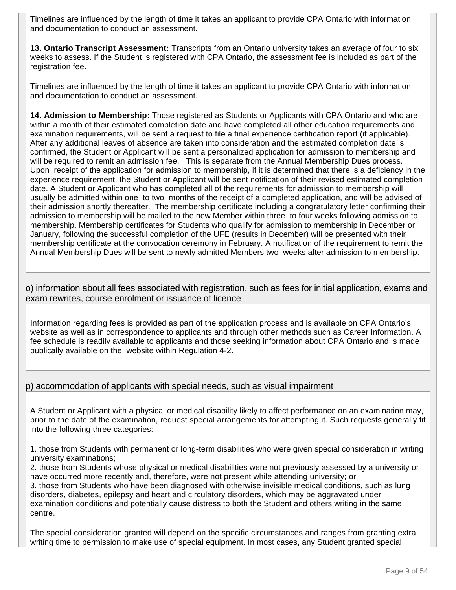Timelines are influenced by the length of time it takes an applicant to provide CPA Ontario with information and documentation to conduct an assessment.

**13. Ontario Transcript Assessment:** Transcripts from an Ontario university takes an average of four to six weeks to assess. If the Student is registered with CPA Ontario, the assessment fee is included as part of the registration fee.

Timelines are influenced by the length of time it takes an applicant to provide CPA Ontario with information and documentation to conduct an assessment.

**14. Admission to Membership:** Those registered as Students or Applicants with CPA Ontario and who are within a month of their estimated completion date and have completed all other education requirements and examination requirements, will be sent a request to file a final experience certification report (if applicable). After any additional leaves of absence are taken into consideration and the estimated completion date is confirmed, the Student or Applicant will be sent a personalized application for admission to membership and will be required to remit an admission fee. This is separate from the Annual Membership Dues process. Upon receipt of the application for admission to membership, if it is determined that there is a deficiency in the experience requirement, the Student or Applicant will be sent notification of their revised estimated completion date. A Student or Applicant who has completed all of the requirements for admission to membership will usually be admitted within one to two months of the receipt of a completed application, and will be advised of their admission shortly thereafter. The membership certificate including a congratulatory letter confirming their admission to membership will be mailed to the new Member within three to four weeks following admission to membership. Membership certificates for Students who qualify for admission to membership in December or January, following the successful completion of the UFE (results in December) will be presented with their membership certificate at the convocation ceremony in February. A notification of the requirement to remit the Annual Membership Dues will be sent to newly admitted Members two weeks after admission to membership.

o) information about all fees associated with registration, such as fees for initial application, exams and exam rewrites, course enrolment or issuance of licence

Information regarding fees is provided as part of the application process and is available on CPA Ontario's website as well as in correspondence to applicants and through other methods such as Career Information. A fee schedule is readily available to applicants and those seeking information about CPA Ontario and is made publically available on the website within Regulation 4-2.

## p) accommodation of applicants with special needs, such as visual impairment

A Student or Applicant with a physical or medical disability likely to affect performance on an examination may, prior to the date of the examination, request special arrangements for attempting it. Such requests generally fit into the following three categories:

1. those from Students with permanent or long-term disabilities who were given special consideration in writing university examinations;

2. those from Students whose physical or medical disabilities were not previously assessed by a university or have occurred more recently and, therefore, were not present while attending university; or

3. those from Students who have been diagnosed with otherwise invisible medical conditions, such as lung disorders, diabetes, epilepsy and heart and circulatory disorders, which may be aggravated under examination conditions and potentially cause distress to both the Student and others writing in the same centre.

The special consideration granted will depend on the specific circumstances and ranges from granting extra writing time to permission to make use of special equipment. In most cases, any Student granted special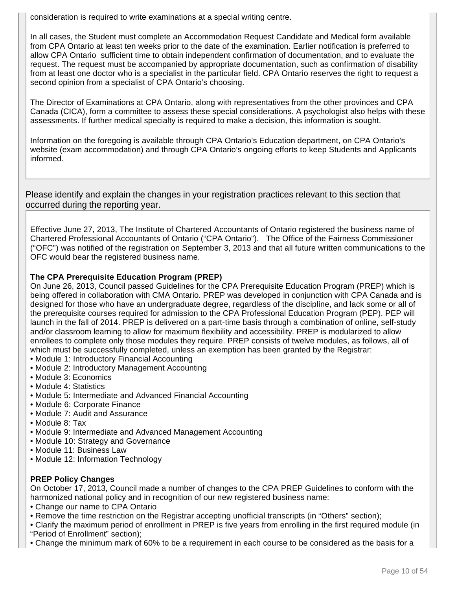consideration is required to write examinations at a special writing centre.

In all cases, the Student must complete an Accommodation Request Candidate and Medical form available from CPA Ontario at least ten weeks prior to the date of the examination. Earlier notification is preferred to allow CPA Ontario sufficient time to obtain independent confirmation of documentation, and to evaluate the request. The request must be accompanied by appropriate documentation, such as confirmation of disability from at least one doctor who is a specialist in the particular field. CPA Ontario reserves the right to request a second opinion from a specialist of CPA Ontario's choosing.

The Director of Examinations at CPA Ontario, along with representatives from the other provinces and CPA Canada (CICA), form a committee to assess these special considerations. A psychologist also helps with these assessments. If further medical specialty is required to make a decision, this information is sought.

Information on the foregoing is available through CPA Ontario's Education department, on CPA Ontario's website (exam accommodation) and through CPA Ontario's ongoing efforts to keep Students and Applicants informed.

Please identify and explain the changes in your registration practices relevant to this section that occurred during the reporting year.

Effective June 27, 2013, The Institute of Chartered Accountants of Ontario registered the business name of Chartered Professional Accountants of Ontario ("CPA Ontario"). The Office of the Fairness Commissioner ("OFC") was notified of the registration on September 3, 2013 and that all future written communications to the OFC would bear the registered business name.

## **The CPA Prerequisite Education Program (PREP)**

On June 26, 2013, Council passed Guidelines for the CPA Prerequisite Education Program (PREP) which is being offered in collaboration with CMA Ontario. PREP was developed in conjunction with CPA Canada and is designed for those who have an undergraduate degree, regardless of the discipline, and lack some or all of the prerequisite courses required for admission to the CPA Professional Education Program (PEP). PEP will launch in the fall of 2014. PREP is delivered on a part-time basis through a combination of online, self-study and/or classroom learning to allow for maximum flexibility and accessibility. PREP is modularized to allow enrollees to complete only those modules they require. PREP consists of twelve modules, as follows, all of which must be successfully completed, unless an exemption has been granted by the Registrar:

- Module 1: Introductory Financial Accounting
- Module 2: Introductory Management Accounting
- Module 3: Economics
- Module 4: Statistics
- Module 5: Intermediate and Advanced Financial Accounting
- Module 6: Corporate Finance
- Module 7: Audit and Assurance
- Module 8: Tax
- Module 9: Intermediate and Advanced Management Accounting
- Module 10: Strategy and Governance
- Module 11: Business Law
- Module 12: Information Technology

## **PREP Policy Changes**

On October 17, 2013, Council made a number of changes to the CPA PREP Guidelines to conform with the harmonized national policy and in recognition of our new registered business name:

- Change our name to CPA Ontario
- Remove the time restriction on the Registrar accepting unofficial transcripts (in "Others" section);

• Clarify the maximum period of enrollment in PREP is five years from enrolling in the first required module (in "Period of Enrollment" section);

• Change the minimum mark of 60% to be a requirement in each course to be considered as the basis for a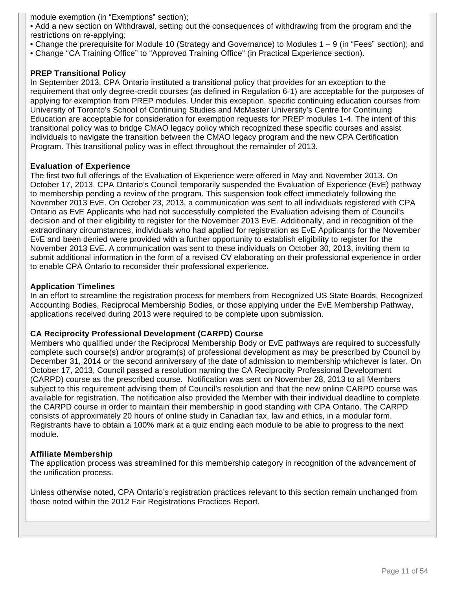module exemption (in "Exemptions" section);

• Add a new section on Withdrawal, setting out the consequences of withdrawing from the program and the restrictions on re-applying;

- Change the prerequisite for Module 10 (Strategy and Governance) to Modules 1 9 (in "Fees" section); and
- Change "CA Training Office" to "Approved Training Office" (in Practical Experience section).

#### **PREP Transitional Policy**

In September 2013, CPA Ontario instituted a transitional policy that provides for an exception to the requirement that only degree-credit courses (as defined in Regulation 6-1) are acceptable for the purposes of applying for exemption from PREP modules. Under this exception, specific continuing education courses from University of Toronto's School of Continuing Studies and McMaster University's Centre for Continuing Education are acceptable for consideration for exemption requests for PREP modules 1-4. The intent of this transitional policy was to bridge CMAO legacy policy which recognized these specific courses and assist individuals to navigate the transition between the CMAO legacy program and the new CPA Certification Program. This transitional policy was in effect throughout the remainder of 2013.

#### **Evaluation of Experience**

The first two full offerings of the Evaluation of Experience were offered in May and November 2013. On October 17, 2013, CPA Ontario's Council temporarily suspended the Evaluation of Experience (EvE) pathway to membership pending a review of the program. This suspension took effect immediately following the November 2013 EvE. On October 23, 2013, a communication was sent to all individuals registered with CPA Ontario as EvE Applicants who had not successfully completed the Evaluation advising them of Council's decision and of their eligibility to register for the November 2013 EvE. Additionally, and in recognition of the extraordinary circumstances, individuals who had applied for registration as EvE Applicants for the November EvE and been denied were provided with a further opportunity to establish eligibility to register for the November 2013 EvE. A communication was sent to these individuals on October 30, 2013, inviting them to submit additional information in the form of a revised CV elaborating on their professional experience in order to enable CPA Ontario to reconsider their professional experience.

#### **Application Timelines**

In an effort to streamline the registration process for members from Recognized US State Boards, Recognized Accounting Bodies, Reciprocal Membership Bodies, or those applying under the EvE Membership Pathway, applications received during 2013 were required to be complete upon submission.

#### **CA Reciprocity Professional Development (CARPD) Course**

Members who qualified under the Reciprocal Membership Body or EvE pathways are required to successfully complete such course(s) and/or program(s) of professional development as may be prescribed by Council by December 31, 2014 or the second anniversary of the date of admission to membership whichever is later. On October 17, 2013, Council passed a resolution naming the CA Reciprocity Professional Development (CARPD) course as the prescribed course. Notification was sent on November 28, 2013 to all Members subject to this requirement advising them of Council's resolution and that the new online CARPD course was available for registration. The notification also provided the Member with their individual deadline to complete the CARPD course in order to maintain their membership in good standing with CPA Ontario. The CARPD consists of approximately 20 hours of online study in Canadian tax, law and ethics, in a modular form. Registrants have to obtain a 100% mark at a quiz ending each module to be able to progress to the next module.

#### **Affiliate Membership**

The application process was streamlined for this membership category in recognition of the advancement of the unification process.

Unless otherwise noted, CPA Ontario's registration practices relevant to this section remain unchanged from those noted within the 2012 Fair Registrations Practices Report.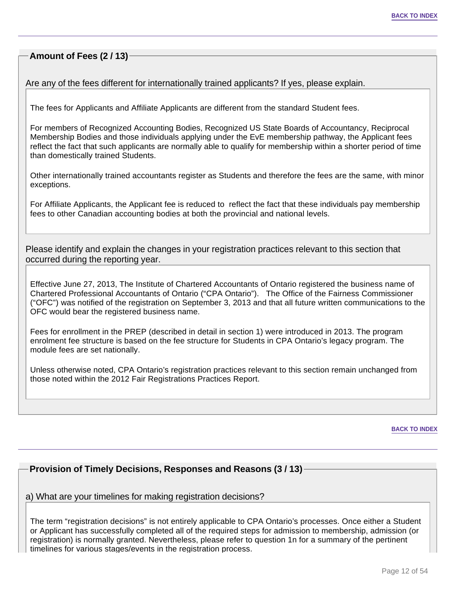## **Amount of Fees (2 / 13)**

Are any of the fees different for internationally trained applicants? If yes, please explain.

The fees for Applicants and Affiliate Applicants are different from the standard Student fees.

For members of Recognized Accounting Bodies, Recognized US State Boards of Accountancy, Reciprocal Membership Bodies and those individuals applying under the EvE membership pathway, the Applicant fees reflect the fact that such applicants are normally able to qualify for membership within a shorter period of time than domestically trained Students.

Other internationally trained accountants register as Students and therefore the fees are the same, with minor exceptions.

For Affiliate Applicants, the Applicant fee is reduced to reflect the fact that these individuals pay membership fees to other Canadian accounting bodies at both the provincial and national levels.

Please identify and explain the changes in your registration practices relevant to this section that occurred during the reporting year.

Effective June 27, 2013, The Institute of Chartered Accountants of Ontario registered the business name of Chartered Professional Accountants of Ontario ("CPA Ontario"). The Office of the Fairness Commissioner ("OFC") was notified of the registration on September 3, 2013 and that all future written communications to the OFC would bear the registered business name.

Fees for enrollment in the PREP (described in detail in section 1) were introduced in 2013. The program enrolment fee structure is based on the fee structure for Students in CPA Ontario's legacy program. The module fees are set nationally.

Unless otherwise noted, CPA Ontario's registration practices relevant to this section remain unchanged from those noted within the 2012 Fair Registrations Practices Report.

**BACK TO INDEX**

## **Provision of Timely Decisions, Responses and Reasons (3 / 13)**

#### a) What are your timelines for making registration decisions?

The term "registration decisions" is not entirely applicable to CPA Ontario's processes. Once either a Student or Applicant has successfully completed all of the required steps for admission to membership, admission (or registration) is normally granted. Nevertheless, please refer to question 1n for a summary of the pertinent timelines for various stages/events in the registration process.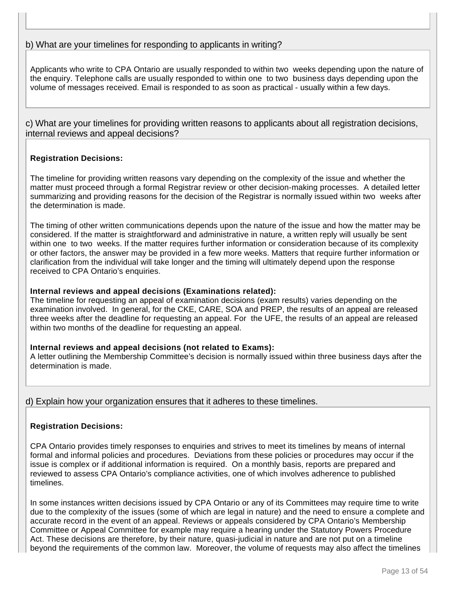## b) What are your timelines for responding to applicants in writing?

Applicants who write to CPA Ontario are usually responded to within two weeks depending upon the nature of the enquiry. Telephone calls are usually responded to within one to two business days depending upon the volume of messages received. Email is responded to as soon as practical - usually within a few days.

c) What are your timelines for providing written reasons to applicants about all registration decisions, internal reviews and appeal decisions?

#### **Registration Decisions:**

The timeline for providing written reasons vary depending on the complexity of the issue and whether the matter must proceed through a formal Registrar review or other decision-making processes. A detailed letter summarizing and providing reasons for the decision of the Registrar is normally issued within two weeks after the determination is made.

The timing of other written communications depends upon the nature of the issue and how the matter may be considered. If the matter is straightforward and administrative in nature, a written reply will usually be sent within one to two weeks. If the matter requires further information or consideration because of its complexity or other factors, the answer may be provided in a few more weeks. Matters that require further information or clarification from the individual will take longer and the timing will ultimately depend upon the response received to CPA Ontario's enquiries.

#### **Internal reviews and appeal decisions (Examinations related):**

The timeline for requesting an appeal of examination decisions (exam results) varies depending on the examination involved. In general, for the CKE, CARE, SOA and PREP, the results of an appeal are released three weeks after the deadline for requesting an appeal. For the UFE, the results of an appeal are released within two months of the deadline for requesting an appeal.

#### **Internal reviews and appeal decisions (not related to Exams):**

A letter outlining the Membership Committee's decision is normally issued within three business days after the determination is made.

d) Explain how your organization ensures that it adheres to these timelines.

#### **Registration Decisions:**

CPA Ontario provides timely responses to enquiries and strives to meet its timelines by means of internal formal and informal policies and procedures. Deviations from these policies or procedures may occur if the issue is complex or if additional information is required. On a monthly basis, reports are prepared and reviewed to assess CPA Ontario's compliance activities, one of which involves adherence to published timelines.

In some instances written decisions issued by CPA Ontario or any of its Committees may require time to write due to the complexity of the issues (some of which are legal in nature) and the need to ensure a complete and accurate record in the event of an appeal. Reviews or appeals considered by CPA Ontario's Membership Committee or Appeal Committee for example may require a hearing under the Statutory Powers Procedure Act. These decisions are therefore, by their nature, quasi-judicial in nature and are not put on a timeline beyond the requirements of the common law. Moreover, the volume of requests may also affect the timelines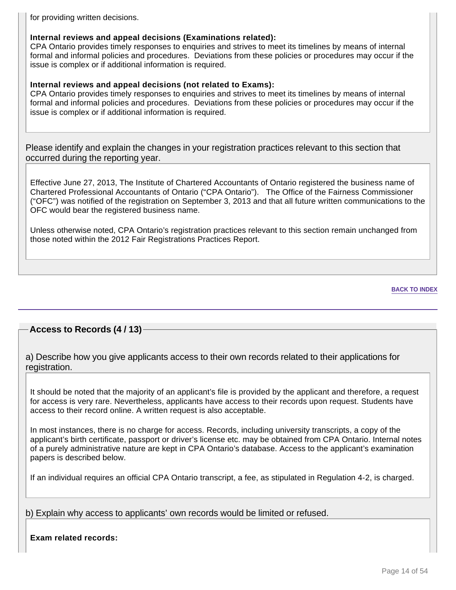for providing written decisions.

## **Internal reviews and appeal decisions (Examinations related):**

CPA Ontario provides timely responses to enquiries and strives to meet its timelines by means of internal formal and informal policies and procedures. Deviations from these policies or procedures may occur if the issue is complex or if additional information is required.

## **Internal reviews and appeal decisions (not related to Exams):**

CPA Ontario provides timely responses to enquiries and strives to meet its timelines by means of internal formal and informal policies and procedures. Deviations from these policies or procedures may occur if the issue is complex or if additional information is required.

Please identify and explain the changes in your registration practices relevant to this section that occurred during the reporting year.

Effective June 27, 2013, The Institute of Chartered Accountants of Ontario registered the business name of Chartered Professional Accountants of Ontario ("CPA Ontario"). The Office of the Fairness Commissioner ("OFC") was notified of the registration on September 3, 2013 and that all future written communications to the OFC would bear the registered business name.

Unless otherwise noted, CPA Ontario's registration practices relevant to this section remain unchanged from those noted within the 2012 Fair Registrations Practices Report.

#### **BACK TO INDEX**

## **Access to Records (4 / 13)**

a) Describe how you give applicants access to their own records related to their applications for registration.

It should be noted that the majority of an applicant's file is provided by the applicant and therefore, a request for access is very rare. Nevertheless, applicants have access to their records upon request. Students have access to their record online. A written request is also acceptable.

In most instances, there is no charge for access. Records, including university transcripts, a copy of the applicant's birth certificate, passport or driver's license etc. may be obtained from CPA Ontario. Internal notes of a purely administrative nature are kept in CPA Ontario's database. Access to the applicant's examination papers is described below.

If an individual requires an official CPA Ontario transcript, a fee, as stipulated in Regulation 4-2, is charged.

b) Explain why access to applicants' own records would be limited or refused.

**Exam related records:**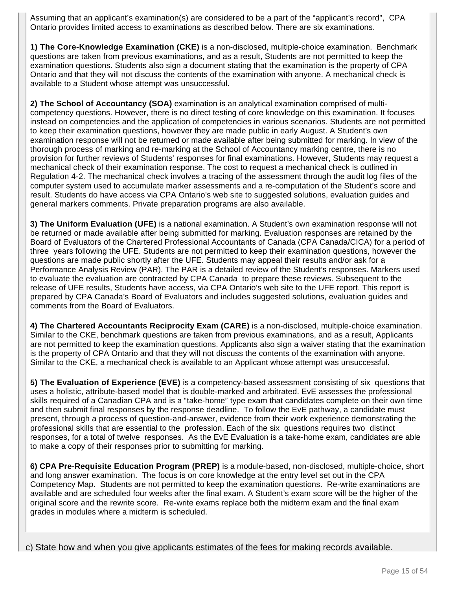Assuming that an applicant's examination(s) are considered to be a part of the "applicant's record", CPA Ontario provides limited access to examinations as described below. There are six examinations.

**1) The Core-Knowledge Examination (CKE)** is a non-disclosed, multiple-choice examination. Benchmark questions are taken from previous examinations, and as a result, Students are not permitted to keep the examination questions. Students also sign a document stating that the examination is the property of CPA Ontario and that they will not discuss the contents of the examination with anyone. A mechanical check is available to a Student whose attempt was unsuccessful.

**2) The School of Accountancy (SOA)** examination is an analytical examination comprised of multicompetency questions. However, there is no direct testing of core knowledge on this examination. It focuses instead on competencies and the application of competencies in various scenarios. Students are not permitted to keep their examination questions, however they are made public in early August. A Student's own examination response will not be returned or made available after being submitted for marking. In view of the thorough process of marking and re-marking at the School of Accountancy marking centre, there is no provision for further reviews of Students' responses for final examinations. However, Students may request a mechanical check of their examination response. The cost to request a mechanical check is outlined in Regulation 4-2. The mechanical check involves a tracing of the assessment through the audit log files of the computer system used to accumulate marker assessments and a re-computation of the Student's score and result. Students do have access via CPA Ontario's web site to suggested solutions, evaluation guides and general markers comments. Private preparation programs are also available.

**3) The Uniform Evaluation (UFE)** is a national examination. A Student's own examination response will not be returned or made available after being submitted for marking. Evaluation responses are retained by the Board of Evaluators of the Chartered Professional Accountants of Canada (CPA Canada/CICA) for a period of three years following the UFE. Students are not permitted to keep their examination questions, however the questions are made public shortly after the UFE. Students may appeal their results and/or ask for a Performance Analysis Review (PAR). The PAR is a detailed review of the Student's responses. Markers used to evaluate the evaluation are contracted by CPA Canada to prepare these reviews. Subsequent to the release of UFE results, Students have access, via CPA Ontario's web site to the UFE report. This report is prepared by CPA Canada's Board of Evaluators and includes suggested solutions, evaluation guides and comments from the Board of Evaluators.

**4) The Chartered Accountants Reciprocity Exam (CARE)** is a non-disclosed, multiple-choice examination. Similar to the CKE, benchmark questions are taken from previous examinations, and as a result, Applicants are not permitted to keep the examination questions. Applicants also sign a waiver stating that the examination is the property of CPA Ontario and that they will not discuss the contents of the examination with anyone. Similar to the CKE, a mechanical check is available to an Applicant whose attempt was unsuccessful.

**5) The Evaluation of Experience (EVE)** is a competency-based assessment consisting of six questions that uses a holistic, attribute-based model that is double-marked and arbitrated. EvE assesses the professional skills required of a Canadian CPA and is a "take-home" type exam that candidates complete on their own time and then submit final responses by the response deadline. To follow the EvE pathway, a candidate must present, through a process of question-and-answer, evidence from their work experience demonstrating the professional skills that are essential to the profession. Each of the six questions requires two distinct responses, for a total of twelve responses. As the EvE Evaluation is a take-home exam, candidates are able to make a copy of their responses prior to submitting for marking.

**6) CPA Pre-Requisite Education Program (PREP)** is a module-based, non-disclosed, multiple-choice, short and long answer examination. The focus is on core knowledge at the entry level set out in the CPA Competency Map. Students are not permitted to keep the examination questions. Re-write examinations are available and are scheduled four weeks after the final exam. A Student's exam score will be the higher of the original score and the rewrite score. Re-write exams replace both the midterm exam and the final exam grades in modules where a midterm is scheduled.

c) State how and when you give applicants estimates of the fees for making records available.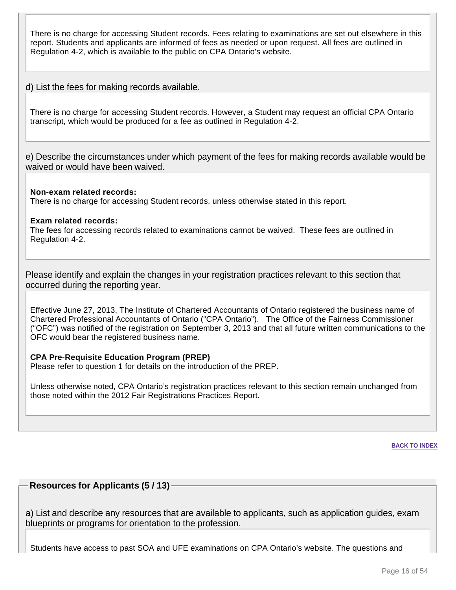There is no charge for accessing Student records. Fees relating to examinations are set out elsewhere in this report. Students and applicants are informed of fees as needed or upon request. All fees are outlined in Regulation 4-2, which is available to the public on CPA Ontario's website.

d) List the fees for making records available.

There is no charge for accessing Student records. However, a Student may request an official CPA Ontario transcript, which would be produced for a fee as outlined in Regulation 4-2.

e) Describe the circumstances under which payment of the fees for making records available would be waived or would have been waived.

**Non-exam related records:** There is no charge for accessing Student records, unless otherwise stated in this report.

#### **Exam related records:**

The fees for accessing records related to examinations cannot be waived. These fees are outlined in Regulation 4-2.

Please identify and explain the changes in your registration practices relevant to this section that occurred during the reporting year.

Effective June 27, 2013, The Institute of Chartered Accountants of Ontario registered the business name of Chartered Professional Accountants of Ontario ("CPA Ontario"). The Office of the Fairness Commissioner ("OFC") was notified of the registration on September 3, 2013 and that all future written communications to the OFC would bear the registered business name.

#### **CPA Pre-Requisite Education Program (PREP)**

Please refer to question 1 for details on the introduction of the PREP.

Unless otherwise noted, CPA Ontario's registration practices relevant to this section remain unchanged from those noted within the 2012 Fair Registrations Practices Report.

**BACK TO INDEX**

#### **Resources for Applicants (5 / 13)**

a) List and describe any resources that are available to applicants, such as application guides, exam blueprints or programs for orientation to the profession.

Students have access to past SOA and UFE examinations on CPA Ontario's website. The questions and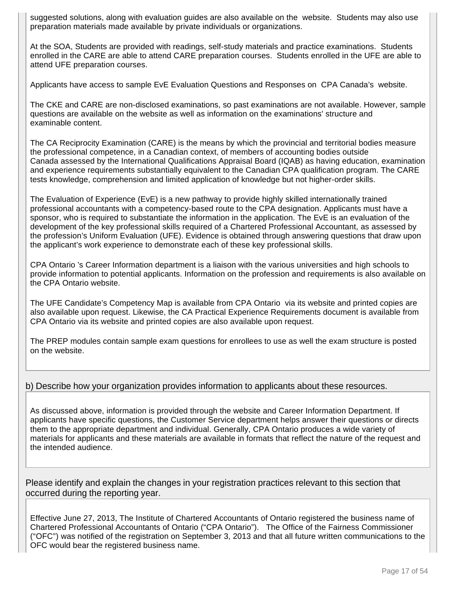suggested solutions, along with evaluation guides are also available on the website. Students may also use preparation materials made available by private individuals or organizations.

At the SOA, Students are provided with readings, self-study materials and practice examinations. Students enrolled in the CARE are able to attend CARE preparation courses. Students enrolled in the UFE are able to attend UFE preparation courses.

Applicants have access to sample EvE Evaluation Questions and Responses on CPA Canada's website.

The CKE and CARE are non-disclosed examinations, so past examinations are not available. However, sample questions are available on the website as well as information on the examinations' structure and examinable content.

The CA Reciprocity Examination (CARE) is the means by which the provincial and territorial bodies measure the professional competence, in a Canadian context, of members of accounting bodies outside Canada assessed by the International Qualifications Appraisal Board (IQAB) as having education, examination and experience requirements substantially equivalent to the Canadian CPA qualification program. The CARE tests knowledge, comprehension and limited application of knowledge but not higher-order skills.

The Evaluation of Experience (EvE) is a new pathway to provide highly skilled internationally trained professional accountants with a competency-based route to the CPA designation. Applicants must have a sponsor, who is required to substantiate the information in the application. The EvE is an evaluation of the development of the key professional skills required of a Chartered Professional Accountant, as assessed by the profession's Uniform Evaluation (UFE). Evidence is obtained through answering questions that draw upon the applicant's work experience to demonstrate each of these key professional skills.

CPA Ontario 's Career Information department is a liaison with the various universities and high schools to provide information to potential applicants. Information on the profession and requirements is also available on the CPA Ontario website.

The UFE Candidate's Competency Map is available from CPA Ontario via its website and printed copies are also available upon request. Likewise, the CA Practical Experience Requirements document is available from CPA Ontario via its website and printed copies are also available upon request.

The PREP modules contain sample exam questions for enrollees to use as well the exam structure is posted on the website.

## b) Describe how your organization provides information to applicants about these resources.

As discussed above, information is provided through the website and Career Information Department. If applicants have specific questions, the Customer Service department helps answer their questions or directs them to the appropriate department and individual. Generally, CPA Ontario produces a wide variety of materials for applicants and these materials are available in formats that reflect the nature of the request and the intended audience.

Please identify and explain the changes in your registration practices relevant to this section that occurred during the reporting year.

Effective June 27, 2013, The Institute of Chartered Accountants of Ontario registered the business name of Chartered Professional Accountants of Ontario ("CPA Ontario"). The Office of the Fairness Commissioner ("OFC") was notified of the registration on September 3, 2013 and that all future written communications to the OFC would bear the registered business name.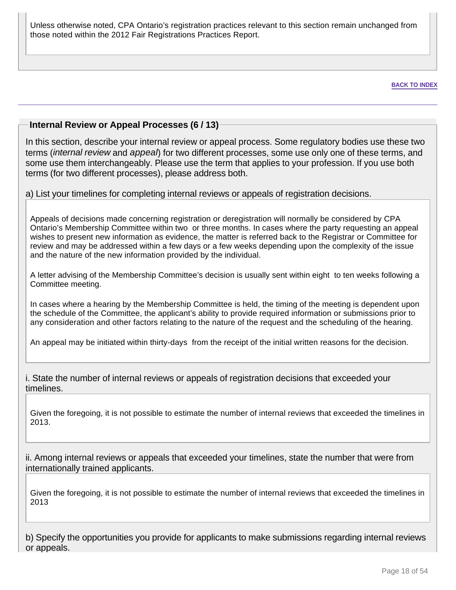Unless otherwise noted, CPA Ontario's registration practices relevant to this section remain unchanged from those noted within the 2012 Fair Registrations Practices Report.

**BACK TO INDEX**

## **Internal Review or Appeal Processes (6 / 13)**

In this section, describe your internal review or appeal process. Some regulatory bodies use these two terms (*internal review* and appeal) for two different processes, some use only one of these terms, and some use them interchangeably. Please use the term that applies to your profession. If you use both terms (for two different processes), please address both.

## a) List your timelines for completing internal reviews or appeals of registration decisions.

Appeals of decisions made concerning registration or deregistration will normally be considered by CPA Ontario's Membership Committee within two or three months. In cases where the party requesting an appeal wishes to present new information as evidence, the matter is referred back to the Registrar or Committee for review and may be addressed within a few days or a few weeks depending upon the complexity of the issue and the nature of the new information provided by the individual.

A letter advising of the Membership Committee's decision is usually sent within eight to ten weeks following a Committee meeting.

In cases where a hearing by the Membership Committee is held, the timing of the meeting is dependent upon the schedule of the Committee, the applicant's ability to provide required information or submissions prior to any consideration and other factors relating to the nature of the request and the scheduling of the hearing.

An appeal may be initiated within thirty-days from the receipt of the initial written reasons for the decision.

i. State the number of internal reviews or appeals of registration decisions that exceeded your timelines.

Given the foregoing, it is not possible to estimate the number of internal reviews that exceeded the timelines in 2013.

ii. Among internal reviews or appeals that exceeded your timelines, state the number that were from internationally trained applicants.

Given the foregoing, it is not possible to estimate the number of internal reviews that exceeded the timelines in 2013

b) Specify the opportunities you provide for applicants to make submissions regarding internal reviews or appeals.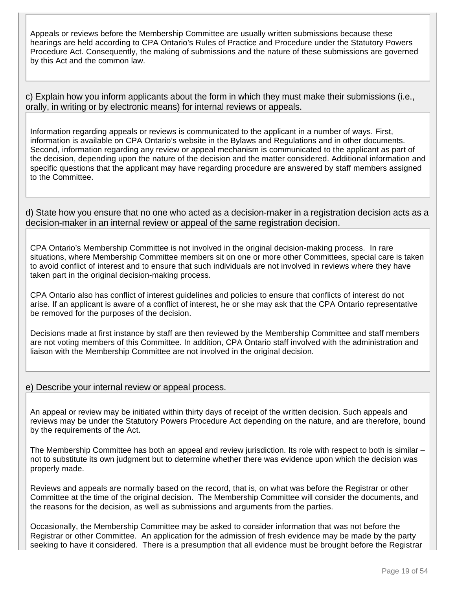Appeals or reviews before the Membership Committee are usually written submissions because these hearings are held according to CPA Ontario's Rules of Practice and Procedure under the Statutory Powers Procedure Act. Consequently, the making of submissions and the nature of these submissions are governed by this Act and the common law.

c) Explain how you inform applicants about the form in which they must make their submissions (i.e., orally, in writing or by electronic means) for internal reviews or appeals.

Information regarding appeals or reviews is communicated to the applicant in a number of ways. First, information is available on CPA Ontario's website in the Bylaws and Regulations and in other documents. Second, information regarding any review or appeal mechanism is communicated to the applicant as part of the decision, depending upon the nature of the decision and the matter considered. Additional information and specific questions that the applicant may have regarding procedure are answered by staff members assigned to the Committee.

d) State how you ensure that no one who acted as a decision-maker in a registration decision acts as a decision-maker in an internal review or appeal of the same registration decision.

CPA Ontario's Membership Committee is not involved in the original decision-making process. In rare situations, where Membership Committee members sit on one or more other Committees, special care is taken to avoid conflict of interest and to ensure that such individuals are not involved in reviews where they have taken part in the original decision-making process.

CPA Ontario also has conflict of interest guidelines and policies to ensure that conflicts of interest do not arise. If an applicant is aware of a conflict of interest, he or she may ask that the CPA Ontario representative be removed for the purposes of the decision.

Decisions made at first instance by staff are then reviewed by the Membership Committee and staff members are not voting members of this Committee. In addition, CPA Ontario staff involved with the administration and liaison with the Membership Committee are not involved in the original decision.

e) Describe your internal review or appeal process.

An appeal or review may be initiated within thirty days of receipt of the written decision. Such appeals and reviews may be under the Statutory Powers Procedure Act depending on the nature, and are therefore, bound by the requirements of the Act.

The Membership Committee has both an appeal and review jurisdiction. Its role with respect to both is similar – not to substitute its own judgment but to determine whether there was evidence upon which the decision was properly made.

Reviews and appeals are normally based on the record, that is, on what was before the Registrar or other Committee at the time of the original decision. The Membership Committee will consider the documents, and the reasons for the decision, as well as submissions and arguments from the parties.

Occasionally, the Membership Committee may be asked to consider information that was not before the Registrar or other Committee. An application for the admission of fresh evidence may be made by the party seeking to have it considered. There is a presumption that all evidence must be brought before the Registrar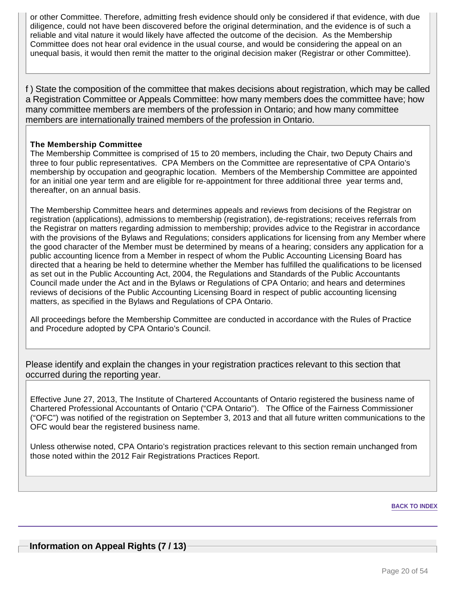or other Committee. Therefore, admitting fresh evidence should only be considered if that evidence, with due diligence, could not have been discovered before the original determination, and the evidence is of such a reliable and vital nature it would likely have affected the outcome of the decision. As the Membership Committee does not hear oral evidence in the usual course, and would be considering the appeal on an unequal basis, it would then remit the matter to the original decision maker (Registrar or other Committee).

f ) State the composition of the committee that makes decisions about registration, which may be called a Registration Committee or Appeals Committee: how many members does the committee have; how many committee members are members of the profession in Ontario; and how many committee members are internationally trained members of the profession in Ontario.

## **The Membership Committee**

The Membership Committee is comprised of 15 to 20 members, including the Chair, two Deputy Chairs and three to four public representatives. CPA Members on the Committee are representative of CPA Ontario's membership by occupation and geographic location. Members of the Membership Committee are appointed for an initial one year term and are eligible for re-appointment for three additional three year terms and, thereafter, on an annual basis.

The Membership Committee hears and determines appeals and reviews from decisions of the Registrar on registration (applications), admissions to membership (registration), de-registrations; receives referrals from the Registrar on matters regarding admission to membership; provides advice to the Registrar in accordance with the provisions of the Bylaws and Regulations; considers applications for licensing from any Member where the good character of the Member must be determined by means of a hearing; considers any application for a public accounting licence from a Member in respect of whom the Public Accounting Licensing Board has directed that a hearing be held to determine whether the Member has fulfilled the qualifications to be licensed as set out in the Public Accounting Act, 2004, the Regulations and Standards of the Public Accountants Council made under the Act and in the Bylaws or Regulations of CPA Ontario; and hears and determines reviews of decisions of the Public Accounting Licensing Board in respect of public accounting licensing matters, as specified in the Bylaws and Regulations of CPA Ontario.

All proceedings before the Membership Committee are conducted in accordance with the Rules of Practice and Procedure adopted by CPA Ontario's Council.

Please identify and explain the changes in your registration practices relevant to this section that occurred during the reporting year.

Effective June 27, 2013, The Institute of Chartered Accountants of Ontario registered the business name of Chartered Professional Accountants of Ontario ("CPA Ontario"). The Office of the Fairness Commissioner ("OFC") was notified of the registration on September 3, 2013 and that all future written communications to the OFC would bear the registered business name.

Unless otherwise noted, CPA Ontario's registration practices relevant to this section remain unchanged from those noted within the 2012 Fair Registrations Practices Report.

#### **BACK TO INDEX**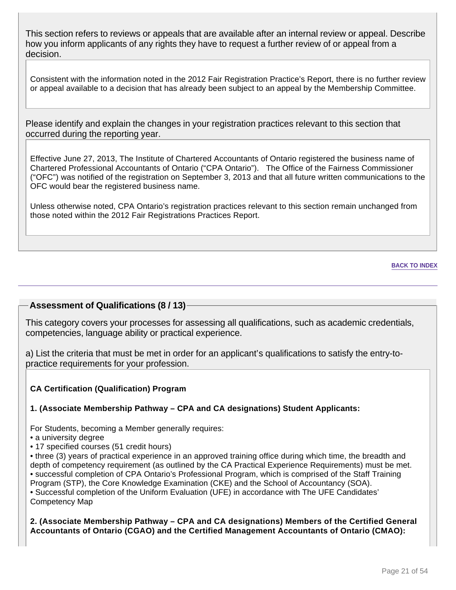This section refers to reviews or appeals that are available after an internal review or appeal. Describe how you inform applicants of any rights they have to request a further review of or appeal from a decision.

Consistent with the information noted in the 2012 Fair Registration Practice's Report, there is no further review or appeal available to a decision that has already been subject to an appeal by the Membership Committee.

Please identify and explain the changes in your registration practices relevant to this section that occurred during the reporting year.

Effective June 27, 2013, The Institute of Chartered Accountants of Ontario registered the business name of Chartered Professional Accountants of Ontario ("CPA Ontario"). The Office of the Fairness Commissioner ("OFC") was notified of the registration on September 3, 2013 and that all future written communications to the OFC would bear the registered business name.

Unless otherwise noted, CPA Ontario's registration practices relevant to this section remain unchanged from those noted within the 2012 Fair Registrations Practices Report.

## **Assessment of Qualifications (8 / 13)**

This category covers your processes for assessing all qualifications, such as academic credentials, competencies, language ability or practical experience.

a) List the criteria that must be met in order for an applicant's qualifications to satisfy the entry-topractice requirements for your profession.

## **CA Certification (Qualification) Program**

## **1. (Associate Membership Pathway – CPA and CA designations) Student Applicants:**

For Students, becoming a Member generally requires:

• a university degree

• 17 specified courses (51 credit hours)

• three (3) years of practical experience in an approved training office during which time, the breadth and depth of competency requirement (as outlined by the CA Practical Experience Requirements) must be met. • successful completion of CPA Ontario's Professional Program, which is comprised of the Staff Training Program (STP), the Core Knowledge Examination (CKE) and the School of Accountancy (SOA). • Successful completion of the Uniform Evaluation (UFE) in accordance with The UFE Candidates' Competency Map

**2. (Associate Membership Pathway – CPA and CA designations) Members of the Certified General Accountants of Ontario (CGAO) and the Certified Management Accountants of Ontario (CMAO):**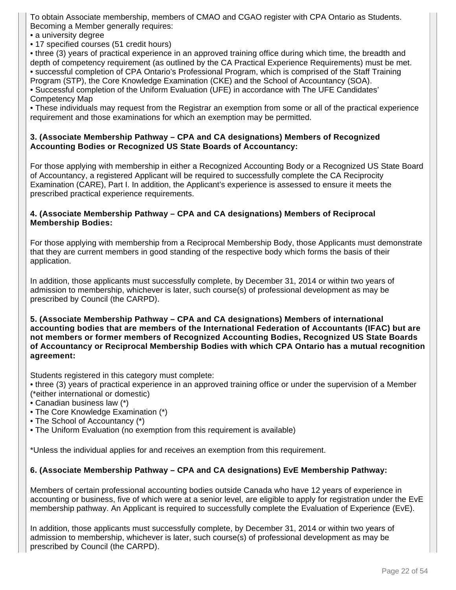To obtain Associate membership, members of CMAO and CGAO register with CPA Ontario as Students. Becoming a Member generally requires:

• a university degree

• 17 specified courses (51 credit hours)

• three (3) years of practical experience in an approved training office during which time, the breadth and depth of competency requirement (as outlined by the CA Practical Experience Requirements) must be met. • successful completion of CPA Ontario's Professional Program, which is comprised of the Staff Training Program (STP), the Core Knowledge Examination (CKE) and the School of Accountancy (SOA).

• Successful completion of the Uniform Evaluation (UFE) in accordance with The UFE Candidates' Competency Map

• These individuals may request from the Registrar an exemption from some or all of the practical experience requirement and those examinations for which an exemption may be permitted.

#### **3. (Associate Membership Pathway – CPA and CA designations) Members of Recognized Accounting Bodies or Recognized US State Boards of Accountancy:**

For those applying with membership in either a Recognized Accounting Body or a Recognized US State Board of Accountancy, a registered Applicant will be required to successfully complete the CA Reciprocity Examination (CARE), Part I. In addition, the Applicant's experience is assessed to ensure it meets the prescribed practical experience requirements.

#### **4. (Associate Membership Pathway – CPA and CA designations) Members of Reciprocal Membership Bodies:**

For those applying with membership from a Reciprocal Membership Body, those Applicants must demonstrate that they are current members in good standing of the respective body which forms the basis of their application.

In addition, those applicants must successfully complete, by December 31, 2014 or within two years of admission to membership, whichever is later, such course(s) of professional development as may be prescribed by Council (the CARPD).

**5. (Associate Membership Pathway – CPA and CA designations) Members of international accounting bodies that are members of the International Federation of Accountants (IFAC) but are not members or former members of Recognized Accounting Bodies, Recognized US State Boards of Accountancy or Reciprocal Membership Bodies with which CPA Ontario has a mutual recognition agreement:**

Students registered in this category must complete:

• three (3) years of practical experience in an approved training office or under the supervision of a Member (\*either international or domestic)

- Canadian business law (\*)
- The Core Knowledge Examination (\*)
- The School of Accountancy (\*)
- The Uniform Evaluation (no exemption from this requirement is available)

\*Unless the individual applies for and receives an exemption from this requirement.

## **6. (Associate Membership Pathway – CPA and CA designations) EvE Membership Pathway:**

Members of certain professional accounting bodies outside Canada who have 12 years of experience in accounting or business, five of which were at a senior level, are eligible to apply for registration under the EvE membership pathway. An Applicant is required to successfully complete the Evaluation of Experience (EvE).

In addition, those applicants must successfully complete, by December 31, 2014 or within two years of admission to membership, whichever is later, such course(s) of professional development as may be prescribed by Council (the CARPD).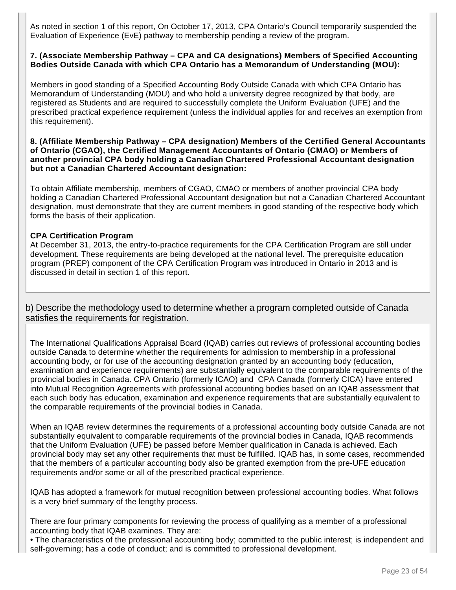As noted in section 1 of this report, On October 17, 2013, CPA Ontario's Council temporarily suspended the Evaluation of Experience (EvE) pathway to membership pending a review of the program.

#### **7. (Associate Membership Pathway – CPA and CA designations) Members of Specified Accounting Bodies Outside Canada with which CPA Ontario has a Memorandum of Understanding (MOU):**

Members in good standing of a Specified Accounting Body Outside Canada with which CPA Ontario has Memorandum of Understanding (MOU) and who hold a university degree recognized by that body, are registered as Students and are required to successfully complete the Uniform Evaluation (UFE) and the prescribed practical experience requirement (unless the individual applies for and receives an exemption from this requirement).

#### **8. (Affiliate Membership Pathway – CPA designation) Members of the Certified General Accountants of Ontario (CGAO), the Certified Management Accountants of Ontario (CMAO) or Members of another provincial CPA body holding a Canadian Chartered Professional Accountant designation but not a Canadian Chartered Accountant designation:**

To obtain Affiliate membership, members of CGAO, CMAO or members of another provincial CPA body holding a Canadian Chartered Professional Accountant designation but not a Canadian Chartered Accountant designation, must demonstrate that they are current members in good standing of the respective body which forms the basis of their application.

## **CPA Certification Program**

At December 31, 2013, the entry-to-practice requirements for the CPA Certification Program are still under development. These requirements are being developed at the national level. The prerequisite education program (PREP) component of the CPA Certification Program was introduced in Ontario in 2013 and is discussed in detail in section 1 of this report.

b) Describe the methodology used to determine whether a program completed outside of Canada satisfies the requirements for registration.

The International Qualifications Appraisal Board (IQAB) carries out reviews of professional accounting bodies outside Canada to determine whether the requirements for admission to membership in a professional accounting body, or for use of the accounting designation granted by an accounting body (education, examination and experience requirements) are substantially equivalent to the comparable requirements of the provincial bodies in Canada. CPA Ontario (formerly ICAO) and CPA Canada (formerly CICA) have entered into Mutual Recognition Agreements with professional accounting bodies based on an IQAB assessment that each such body has education, examination and experience requirements that are substantially equivalent to the comparable requirements of the provincial bodies in Canada.

When an IQAB review determines the requirements of a professional accounting body outside Canada are not substantially equivalent to comparable requirements of the provincial bodies in Canada, IQAB recommends that the Uniform Evaluation (UFE) be passed before Member qualification in Canada is achieved. Each provincial body may set any other requirements that must be fulfilled. IQAB has, in some cases, recommended that the members of a particular accounting body also be granted exemption from the pre-UFE education requirements and/or some or all of the prescribed practical experience.

IQAB has adopted a framework for mutual recognition between professional accounting bodies. What follows is a very brief summary of the lengthy process.

There are four primary components for reviewing the process of qualifying as a member of a professional accounting body that IQAB examines. They are:

• The characteristics of the professional accounting body; committed to the public interest; is independent and self-governing; has a code of conduct; and is committed to professional development.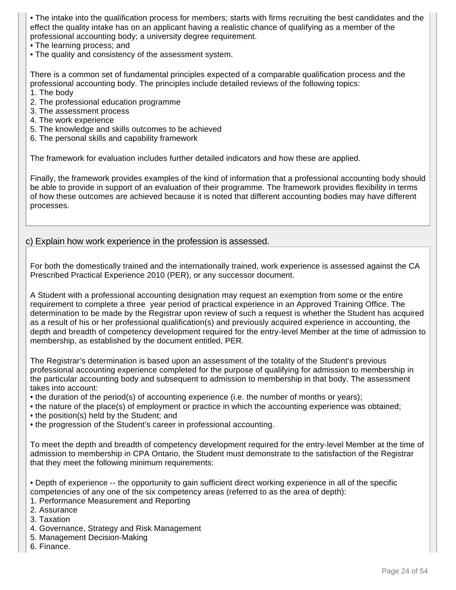• The intake into the qualification process for members; starts with firms recruiting the best candidates and the effect the quality intake has on an applicant having a realistic chance of qualifying as a member of the professional accounting body; a university degree requirement.

- The learning process; and
- The quality and consistency of the assessment system.

There is a common set of fundamental principles expected of a comparable qualification process and the professional accounting body. The principles include detailed reviews of the following topics: 1. The body

- 2. The professional education programme
- 3. The assessment process
- 4. The work experience
- 5. The knowledge and skills outcomes to be achieved
- 6. The personal skills and capability framework

The framework for evaluation includes further detailed indicators and how these are applied.

Finally, the framework provides examples of the kind of information that a professional accounting body should be able to provide in support of an evaluation of their programme. The framework provides flexibility in terms of how these outcomes are achieved because it is noted that different accounting bodies may have different processes.

## c) Explain how work experience in the profession is assessed.

For both the domestically trained and the internationally trained, work experience is assessed against the CA Prescribed Practical Experience 2010 (PER), or any successor document.

A Student with a professional accounting designation may request an exemption from some or the entire requirement to complete a three year period of practical experience in an Approved Training Office. The determination to be made by the Registrar upon review of such a request is whether the Student has acquired as a result of his or her professional qualification(s) and previously acquired experience in accounting, the depth and breadth of competency development required for the entry-level Member at the time of admission to membership, as established by the document entitled, PER.

The Registrar's determination is based upon an assessment of the totality of the Student's previous professional accounting experience completed for the purpose of qualifying for admission to membership in the particular accounting body and subsequent to admission to membership in that body. The assessment takes into account:

- the duration of the period(s) of accounting experience (i.e. the number of months or years);
- the nature of the place(s) of employment or practice in which the accounting experience was obtained;
- the position(s) held by the Student; and
- the progression of the Student's career in professional accounting.

To meet the depth and breadth of competency development required for the entry-level Member at the time of admission to membership in CPA Ontario, the Student must demonstrate to the satisfaction of the Registrar that they meet the following minimum requirements:

• Depth of experience -- the opportunity to gain sufficient direct working experience in all of the specific competencies of any one of the six competency areas (referred to as the area of depth):

- 1. Performance Measurement and Reporting
- 2. Assurance
- 3. Taxation
- 4. Governance, Strategy and Risk Management
- 5. Management Decision-Making
- 6. Finance.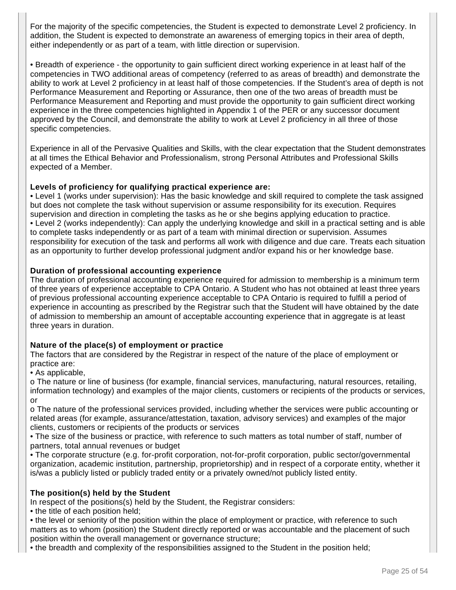For the majority of the specific competencies, the Student is expected to demonstrate Level 2 proficiency. In addition, the Student is expected to demonstrate an awareness of emerging topics in their area of depth, either independently or as part of a team, with little direction or supervision.

• Breadth of experience - the opportunity to gain sufficient direct working experience in at least half of the competencies in TWO additional areas of competency (referred to as areas of breadth) and demonstrate the ability to work at Level 2 proficiency in at least half of those competencies. If the Student's area of depth is not Performance Measurement and Reporting or Assurance, then one of the two areas of breadth must be Performance Measurement and Reporting and must provide the opportunity to gain sufficient direct working experience in the three competencies highlighted in Appendix 1 of the PER or any successor document approved by the Council, and demonstrate the ability to work at Level 2 proficiency in all three of those specific competencies.

Experience in all of the Pervasive Qualities and Skills, with the clear expectation that the Student demonstrates at all times the Ethical Behavior and Professionalism, strong Personal Attributes and Professional Skills expected of a Member.

## **Levels of proficiency for qualifying practical experience are:**

• Level 1 (works under supervision): Has the basic knowledge and skill required to complete the task assigned but does not complete the task without supervision or assume responsibility for its execution. Requires supervision and direction in completing the tasks as he or she begins applying education to practice. • Level 2 (works independently): Can apply the underlying knowledge and skill in a practical setting and is able to complete tasks independently or as part of a team with minimal direction or supervision. Assumes responsibility for execution of the task and performs all work with diligence and due care. Treats each situation as an opportunity to further develop professional judgment and/or expand his or her knowledge base.

## **Duration of professional accounting experience**

The duration of professional accounting experience required for admission to membership is a minimum term of three years of experience acceptable to CPA Ontario. A Student who has not obtained at least three years of previous professional accounting experience acceptable to CPA Ontario is required to fulfill a period of experience in accounting as prescribed by the Registrar such that the Student will have obtained by the date of admission to membership an amount of acceptable accounting experience that in aggregate is at least three years in duration.

## **Nature of the place(s) of employment or practice**

The factors that are considered by the Registrar in respect of the nature of the place of employment or practice are:

• As applicable,

o The nature or line of business (for example, financial services, manufacturing, natural resources, retailing, information technology) and examples of the major clients, customers or recipients of the products or services, or

o The nature of the professional services provided, including whether the services were public accounting or related areas (for example, assurance/attestation, taxation, advisory services) and examples of the major clients, customers or recipients of the products or services

• The size of the business or practice, with reference to such matters as total number of staff, number of partners, total annual revenues or budget

• The corporate structure (e.g. for-profit corporation, not-for-profit corporation, public sector/governmental organization, academic institution, partnership, proprietorship) and in respect of a corporate entity, whether it is/was a publicly listed or publicly traded entity or a privately owned/not publicly listed entity.

## **The position(s) held by the Student**

In respect of the positions(s) held by the Student, the Registrar considers:

• the title of each position held;

• the level or seniority of the position within the place of employment or practice, with reference to such matters as to whom (position) the Student directly reported or was accountable and the placement of such position within the overall management or governance structure;

• the breadth and complexity of the responsibilities assigned to the Student in the position held;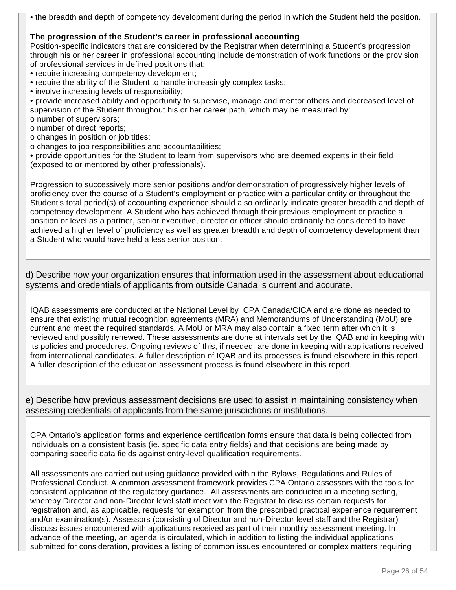• the breadth and depth of competency development during the period in which the Student held the position.

## **The progression of the Student's career in professional accounting**

Position-specific indicators that are considered by the Registrar when determining a Student's progression through his or her career in professional accounting include demonstration of work functions or the provision of professional services in defined positions that:

- require increasing competency development;
- require the ability of the Student to handle increasingly complex tasks;
- involve increasing levels of responsibility;

• provide increased ability and opportunity to supervise, manage and mentor others and decreased level of supervision of the Student throughout his or her career path, which may be measured by: o number of supervisors;

- o number of direct reports;
- o changes in position or job titles;
- o changes to job responsibilities and accountabilities;

• provide opportunities for the Student to learn from supervisors who are deemed experts in their field (exposed to or mentored by other professionals).

Progression to successively more senior positions and/or demonstration of progressively higher levels of proficiency over the course of a Student's employment or practice with a particular entity or throughout the Student's total period(s) of accounting experience should also ordinarily indicate greater breadth and depth of competency development. A Student who has achieved through their previous employment or practice a position or level as a partner, senior executive, director or officer should ordinarily be considered to have achieved a higher level of proficiency as well as greater breadth and depth of competency development than a Student who would have held a less senior position.

d) Describe how your organization ensures that information used in the assessment about educational systems and credentials of applicants from outside Canada is current and accurate.

IQAB assessments are conducted at the National Level by CPA Canada/CICA and are done as needed to ensure that existing mutual recognition agreements (MRA) and Memorandums of Understanding (MoU) are current and meet the required standards. A MoU or MRA may also contain a fixed term after which it is reviewed and possibly renewed. These assessments are done at intervals set by the IQAB and in keeping with its policies and procedures. Ongoing reviews of this, if needed, are done in keeping with applications received from international candidates. A fuller description of IQAB and its processes is found elsewhere in this report. A fuller description of the education assessment process is found elsewhere in this report.

e) Describe how previous assessment decisions are used to assist in maintaining consistency when assessing credentials of applicants from the same jurisdictions or institutions.

CPA Ontario's application forms and experience certification forms ensure that data is being collected from individuals on a consistent basis (ie. specific data entry fields) and that decisions are being made by comparing specific data fields against entry-level qualification requirements.

All assessments are carried out using guidance provided within the Bylaws, Regulations and Rules of Professional Conduct. A common assessment framework provides CPA Ontario assessors with the tools for consistent application of the regulatory guidance. All assessments are conducted in a meeting setting, whereby Director and non-Director level staff meet with the Registrar to discuss certain requests for registration and, as applicable, requests for exemption from the prescribed practical experience requirement and/or examination(s). Assessors (consisting of Director and non-Director level staff and the Registrar) discuss issues encountered with applications received as part of their monthly assessment meeting. In advance of the meeting, an agenda is circulated, which in addition to listing the individual applications submitted for consideration, provides a listing of common issues encountered or complex matters requiring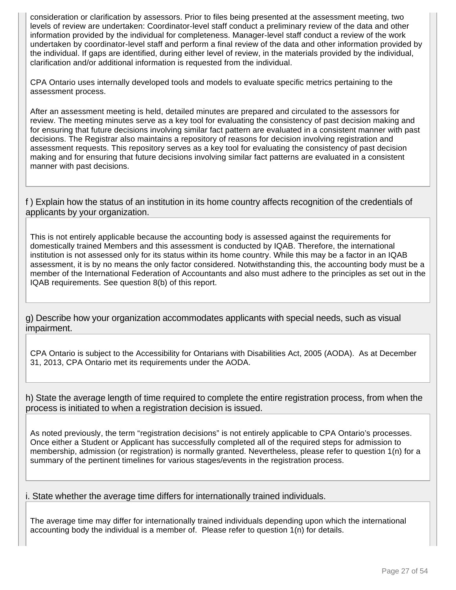consideration or clarification by assessors. Prior to files being presented at the assessment meeting, two levels of review are undertaken: Coordinator-level staff conduct a preliminary review of the data and other information provided by the individual for completeness. Manager-level staff conduct a review of the work undertaken by coordinator-level staff and perform a final review of the data and other information provided by the individual. If gaps are identified, during either level of review, in the materials provided by the individual, clarification and/or additional information is requested from the individual.

CPA Ontario uses internally developed tools and models to evaluate specific metrics pertaining to the assessment process.

After an assessment meeting is held, detailed minutes are prepared and circulated to the assessors for review. The meeting minutes serve as a key tool for evaluating the consistency of past decision making and for ensuring that future decisions involving similar fact pattern are evaluated in a consistent manner with past decisions. The Registrar also maintains a repository of reasons for decision involving registration and assessment requests. This repository serves as a key tool for evaluating the consistency of past decision making and for ensuring that future decisions involving similar fact patterns are evaluated in a consistent manner with past decisions.

f ) Explain how the status of an institution in its home country affects recognition of the credentials of applicants by your organization.

This is not entirely applicable because the accounting body is assessed against the requirements for domestically trained Members and this assessment is conducted by IQAB. Therefore, the international institution is not assessed only for its status within its home country. While this may be a factor in an IQAB assessment, it is by no means the only factor considered. Notwithstanding this, the accounting body must be a member of the International Federation of Accountants and also must adhere to the principles as set out in the IQAB requirements. See question 8(b) of this report.

g) Describe how your organization accommodates applicants with special needs, such as visual impairment.

CPA Ontario is subject to the Accessibility for Ontarians with Disabilities Act, 2005 (AODA). As at December 31, 2013, CPA Ontario met its requirements under the AODA.

h) State the average length of time required to complete the entire registration process, from when the process is initiated to when a registration decision is issued.

As noted previously, the term "registration decisions" is not entirely applicable to CPA Ontario's processes. Once either a Student or Applicant has successfully completed all of the required steps for admission to membership, admission (or registration) is normally granted. Nevertheless, please refer to question 1(n) for a summary of the pertinent timelines for various stages/events in the registration process.

## i. State whether the average time differs for internationally trained individuals.

The average time may differ for internationally trained individuals depending upon which the international accounting body the individual is a member of. Please refer to question 1(n) for details.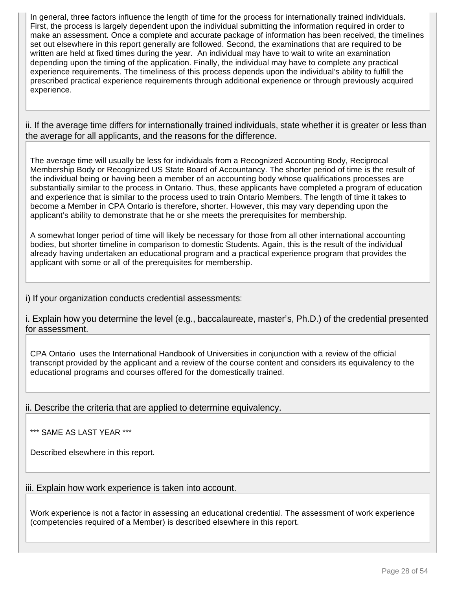In general, three factors influence the length of time for the process for internationally trained individuals. First, the process is largely dependent upon the individual submitting the information required in order to make an assessment. Once a complete and accurate package of information has been received, the timelines set out elsewhere in this report generally are followed. Second, the examinations that are required to be written are held at fixed times during the year. An individual may have to wait to write an examination depending upon the timing of the application. Finally, the individual may have to complete any practical experience requirements. The timeliness of this process depends upon the individual's ability to fulfill the prescribed practical experience requirements through additional experience or through previously acquired experience.

ii. If the average time differs for internationally trained individuals, state whether it is greater or less than the average for all applicants, and the reasons for the difference.

The average time will usually be less for individuals from a Recognized Accounting Body, Reciprocal Membership Body or Recognized US State Board of Accountancy. The shorter period of time is the result of the individual being or having been a member of an accounting body whose qualifications processes are substantially similar to the process in Ontario. Thus, these applicants have completed a program of education and experience that is similar to the process used to train Ontario Members. The length of time it takes to become a Member in CPA Ontario is therefore, shorter. However, this may vary depending upon the applicant's ability to demonstrate that he or she meets the prerequisites for membership.

A somewhat longer period of time will likely be necessary for those from all other international accounting bodies, but shorter timeline in comparison to domestic Students. Again, this is the result of the individual already having undertaken an educational program and a practical experience program that provides the applicant with some or all of the prerequisites for membership.

i) If your organization conducts credential assessments:

i. Explain how you determine the level (e.g., baccalaureate, master's, Ph.D.) of the credential presented for assessment.

CPA Ontario uses the International Handbook of Universities in conjunction with a review of the official transcript provided by the applicant and a review of the course content and considers its equivalency to the educational programs and courses offered for the domestically trained.

ii. Describe the criteria that are applied to determine equivalency.

\*\*\* SAME AS LAST YEAR \*\*\*

Described elsewhere in this report.

iii. Explain how work experience is taken into account.

Work experience is not a factor in assessing an educational credential. The assessment of work experience (competencies required of a Member) is described elsewhere in this report.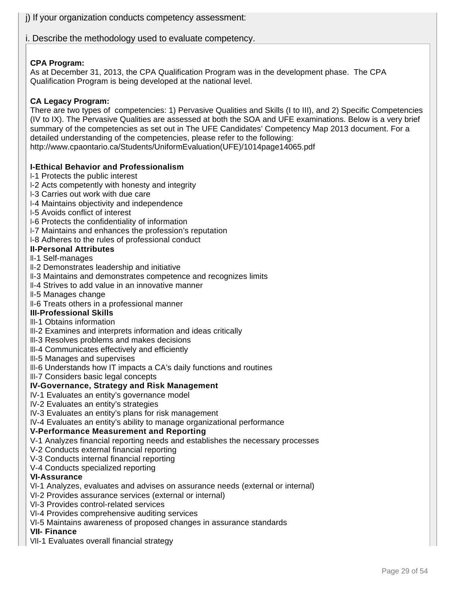j) If your organization conducts competency assessment:

i. Describe the methodology used to evaluate competency.

## **CPA Program:**

As at December 31, 2013, the CPA Qualification Program was in the development phase. The CPA Qualification Program is being developed at the national level.

## **CA Legacy Program:**

There are two types of competencies: 1) Pervasive Qualities and Skills (I to III), and 2) Specific Competencies (IV to IX). The Pervasive Qualities are assessed at both the SOA and UFE examinations. Below is a very brief summary of the competencies as set out in The UFE Candidates' Competency Map 2013 document. For a detailed understanding of the competencies, please refer to the following: http://www.cpaontario.ca/Students/UniformEvaluation(UFE)/1014page14065.pdf

## **I-Ethical Behavior and Professionalism**

- I-1 Protects the public interest
- I-2 Acts competently with honesty and integrity
- I-3 Carries out work with due care
- I-4 Maintains objectivity and independence
- I-5 Avoids conflict of interest
- I-6 Protects the confidentiality of information
- I-7 Maintains and enhances the profession's reputation
- I-8 Adheres to the rules of professional conduct

## **II-Personal Attributes**

- II-1 Self-manages
- II-2 Demonstrates leadership and initiative
- II-3 Maintains and demonstrates competence and recognizes limits
- II-4 Strives to add value in an innovative manner
- II-5 Manages change
- II-6 Treats others in a professional manner

#### **III-Professional Skills**

- III-1 Obtains information
- III-2 Examines and interprets information and ideas critically
- III-3 Resolves problems and makes decisions
- III-4 Communicates effectively and efficiently
- III-5 Manages and supervises
- III-6 Understands how IT impacts a CA's daily functions and routines
- III-7 Considers basic legal concepts

## **IV-Governance, Strategy and Risk Management**

- IV-1 Evaluates an entity's governance model
- IV-2 Evaluates an entity's strategies
- IV-3 Evaluates an entity's plans for risk management
- IV-4 Evaluates an entity's ability to manage organizational performance

#### **V-Performance Measurement and Reporting**

- V-1 Analyzes financial reporting needs and establishes the necessary processes
- V-2 Conducts external financial reporting
- V-3 Conducts internal financial reporting
- V-4 Conducts specialized reporting

## **VI-Assurance**

- VI-1 Analyzes, evaluates and advises on assurance needs (external or internal)
- VI-2 Provides assurance services (external or internal)
- VI-3 Provides control-related services
- VI-4 Provides comprehensive auditing services
- VI-5 Maintains awareness of proposed changes in assurance standards

#### **VII- Finance**

VII-1 Evaluates overall financial strategy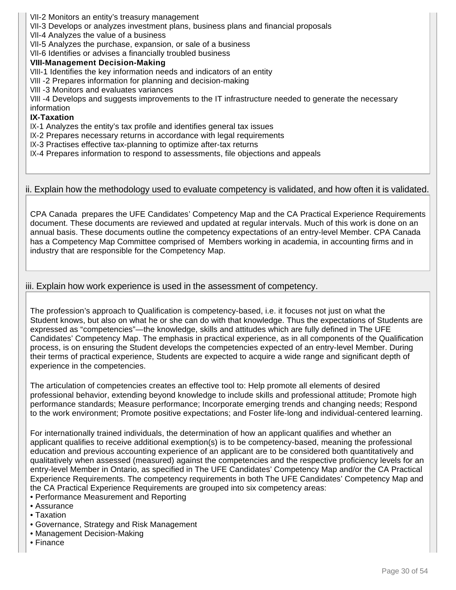- VII-2 Monitors an entity's treasury management
- VII-3 Develops or analyzes investment plans, business plans and financial proposals
- VII-4 Analyzes the value of a business
- VII-5 Analyzes the purchase, expansion, or sale of a business

VII-6 Identifies or advises a financially troubled business

#### **VIII-Management Decision-Making**

VIII-1 Identifies the key information needs and indicators of an entity

- VIII -2 Prepares information for planning and decision-making
- VIII -3 Monitors and evaluates variances

VIII -4 Develops and suggests improvements to the IT infrastructure needed to generate the necessary information

#### **IX-Taxation**

IX-1 Analyzes the entity's tax profile and identifies general tax issues

IX-2 Prepares necessary returns in accordance with legal requirements

- IX-3 Practises effective tax-planning to optimize after-tax returns
- IX-4 Prepares information to respond to assessments, file objections and appeals

#### ii. Explain how the methodology used to evaluate competency is validated, and how often it is validated.

CPA Canada prepares the UFE Candidates' Competency Map and the CA Practical Experience Requirements document. These documents are reviewed and updated at regular intervals. Much of this work is done on an annual basis. These documents outline the competency expectations of an entry-level Member. CPA Canada has a Competency Map Committee comprised of Members working in academia, in accounting firms and in industry that are responsible for the Competency Map.

## iii. Explain how work experience is used in the assessment of competency.

The profession's approach to Qualification is competency-based, i.e. it focuses not just on what the Student knows, but also on what he or she can do with that knowledge. Thus the expectations of Students are expressed as "competencies"—the knowledge, skills and attitudes which are fully defined in The UFE Candidates' Competency Map. The emphasis in practical experience, as in all components of the Qualification process, is on ensuring the Student develops the competencies expected of an entry-level Member. During their terms of practical experience, Students are expected to acquire a wide range and significant depth of experience in the competencies.

The articulation of competencies creates an effective tool to: Help promote all elements of desired professional behavior, extending beyond knowledge to include skills and professional attitude; Promote high performance standards; Measure performance; Incorporate emerging trends and changing needs; Respond to the work environment; Promote positive expectations; and Foster life-long and individual-centered learning.

For internationally trained individuals, the determination of how an applicant qualifies and whether an applicant qualifies to receive additional exemption(s) is to be competency-based, meaning the professional education and previous accounting experience of an applicant are to be considered both quantitatively and qualitatively when assessed (measured) against the competencies and the respective proficiency levels for an entry-level Member in Ontario, as specified in The UFE Candidates' Competency Map and/or the CA Practical Experience Requirements. The competency requirements in both The UFE Candidates' Competency Map and the CA Practical Experience Requirements are grouped into six competency areas:

- Performance Measurement and Reporting
- Assurance
- Taxation
- Governance, Strategy and Risk Management
- Management Decision-Making
- Finance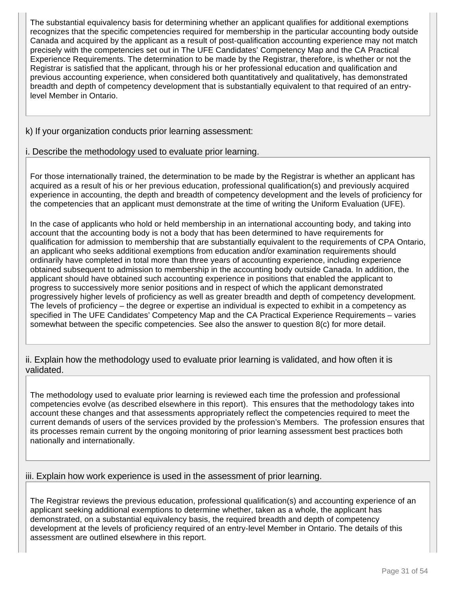The substantial equivalency basis for determining whether an applicant qualifies for additional exemptions recognizes that the specific competencies required for membership in the particular accounting body outside Canada and acquired by the applicant as a result of post-qualification accounting experience may not match precisely with the competencies set out in The UFE Candidates' Competency Map and the CA Practical Experience Requirements. The determination to be made by the Registrar, therefore, is whether or not the Registrar is satisfied that the applicant, through his or her professional education and qualification and previous accounting experience, when considered both quantitatively and qualitatively, has demonstrated breadth and depth of competency development that is substantially equivalent to that required of an entrylevel Member in Ontario.

## k) If your organization conducts prior learning assessment:

## i. Describe the methodology used to evaluate prior learning.

For those internationally trained, the determination to be made by the Registrar is whether an applicant has acquired as a result of his or her previous education, professional qualification(s) and previously acquired experience in accounting, the depth and breadth of competency development and the levels of proficiency for the competencies that an applicant must demonstrate at the time of writing the Uniform Evaluation (UFE).

In the case of applicants who hold or held membership in an international accounting body, and taking into account that the accounting body is not a body that has been determined to have requirements for qualification for admission to membership that are substantially equivalent to the requirements of CPA Ontario, an applicant who seeks additional exemptions from education and/or examination requirements should ordinarily have completed in total more than three years of accounting experience, including experience obtained subsequent to admission to membership in the accounting body outside Canada. In addition, the applicant should have obtained such accounting experience in positions that enabled the applicant to progress to successively more senior positions and in respect of which the applicant demonstrated progressively higher levels of proficiency as well as greater breadth and depth of competency development. The levels of proficiency – the degree or expertise an individual is expected to exhibit in a competency as specified in The UFE Candidates' Competency Map and the CA Practical Experience Requirements – varies somewhat between the specific competencies. See also the answer to question 8(c) for more detail.

## ii. Explain how the methodology used to evaluate prior learning is validated, and how often it is validated.

The methodology used to evaluate prior learning is reviewed each time the profession and professional competencies evolve (as described elsewhere in this report). This ensures that the methodology takes into account these changes and that assessments appropriately reflect the competencies required to meet the current demands of users of the services provided by the profession's Members. The profession ensures that its processes remain current by the ongoing monitoring of prior learning assessment best practices both nationally and internationally.

## iii. Explain how work experience is used in the assessment of prior learning.

The Registrar reviews the previous education, professional qualification(s) and accounting experience of an applicant seeking additional exemptions to determine whether, taken as a whole, the applicant has demonstrated, on a substantial equivalency basis, the required breadth and depth of competency development at the levels of proficiency required of an entry-level Member in Ontario. The details of this assessment are outlined elsewhere in this report.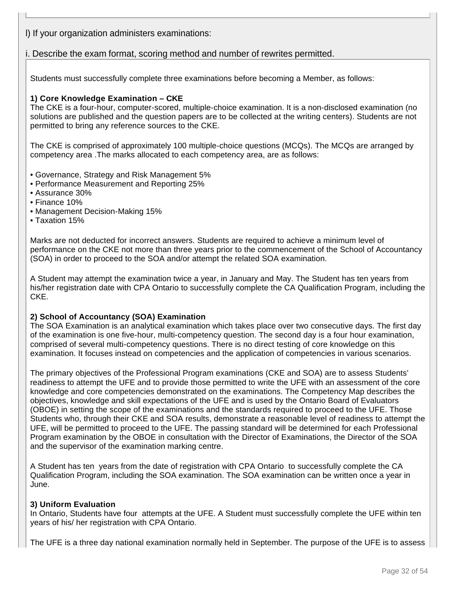l) If your organization administers examinations:

## i. Describe the exam format, scoring method and number of rewrites permitted.

Students must successfully complete three examinations before becoming a Member, as follows:

#### **1) Core Knowledge Examination – CKE**

The CKE is a four-hour, computer-scored, multiple-choice examination. It is a non-disclosed examination (no solutions are published and the question papers are to be collected at the writing centers). Students are not permitted to bring any reference sources to the CKE.

The CKE is comprised of approximately 100 multiple-choice questions (MCQs). The MCQs are arranged by competency area .The marks allocated to each competency area, are as follows:

- Governance, Strategy and Risk Management 5%
- Performance Measurement and Reporting 25%
- Assurance 30%
- Finance 10%
- Management Decision-Making 15%
- Taxation 15%

Marks are not deducted for incorrect answers. Students are required to achieve a minimum level of performance on the CKE not more than three years prior to the commencement of the School of Accountancy (SOA) in order to proceed to the SOA and/or attempt the related SOA examination.

A Student may attempt the examination twice a year, in January and May. The Student has ten years from his/her registration date with CPA Ontario to successfully complete the CA Qualification Program, including the CKE.

#### **2) School of Accountancy (SOA) Examination**

The SOA Examination is an analytical examination which takes place over two consecutive days. The first day of the examination is one five-hour, multi-competency question. The second day is a four hour examination, comprised of several multi-competency questions. There is no direct testing of core knowledge on this examination. It focuses instead on competencies and the application of competencies in various scenarios.

The primary objectives of the Professional Program examinations (CKE and SOA) are to assess Students' readiness to attempt the UFE and to provide those permitted to write the UFE with an assessment of the core knowledge and core competencies demonstrated on the examinations. The Competency Map describes the objectives, knowledge and skill expectations of the UFE and is used by the Ontario Board of Evaluators (OBOE) in setting the scope of the examinations and the standards required to proceed to the UFE. Those Students who, through their CKE and SOA results, demonstrate a reasonable level of readiness to attempt the UFE, will be permitted to proceed to the UFE. The passing standard will be determined for each Professional Program examination by the OBOE in consultation with the Director of Examinations, the Director of the SOA and the supervisor of the examination marking centre.

A Student has ten years from the date of registration with CPA Ontario to successfully complete the CA Qualification Program, including the SOA examination. The SOA examination can be written once a year in June.

#### **3) Uniform Evaluation**

In Ontario, Students have four attempts at the UFE. A Student must successfully complete the UFE within ten years of his/ her registration with CPA Ontario.

The UFE is a three day national examination normally held in September. The purpose of the UFE is to assess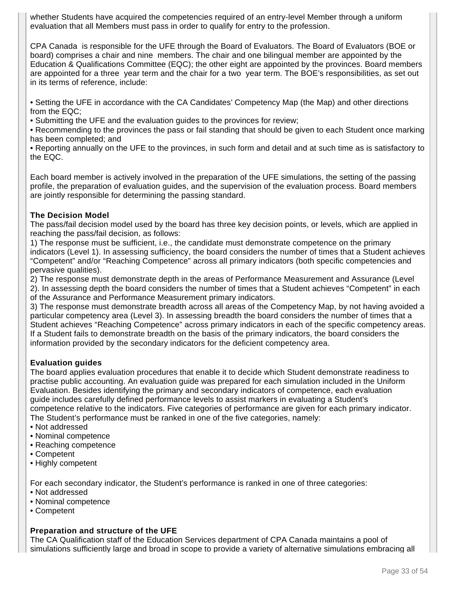whether Students have acquired the competencies required of an entry-level Member through a uniform evaluation that all Members must pass in order to qualify for entry to the profession.

CPA Canada is responsible for the UFE through the Board of Evaluators. The Board of Evaluators (BOE or board) comprises a chair and nine members. The chair and one bilingual member are appointed by the Education & Qualifications Committee (EQC); the other eight are appointed by the provinces. Board members are appointed for a three year term and the chair for a two year term. The BOE's responsibilities, as set out in its terms of reference, include:

• Setting the UFE in accordance with the CA Candidates' Competency Map (the Map) and other directions from the EQC;

• Submitting the UFE and the evaluation guides to the provinces for review;

• Recommending to the provinces the pass or fail standing that should be given to each Student once marking has been completed; and

• Reporting annually on the UFE to the provinces, in such form and detail and at such time as is satisfactory to the EQC.

Each board member is actively involved in the preparation of the UFE simulations, the setting of the passing profile, the preparation of evaluation guides, and the supervision of the evaluation process. Board members are jointly responsible for determining the passing standard.

## **The Decision Model**

The pass/fail decision model used by the board has three key decision points, or levels, which are applied in reaching the pass/fail decision, as follows:

1) The response must be sufficient, i.e., the candidate must demonstrate competence on the primary indicators (Level 1). In assessing sufficiency, the board considers the number of times that a Student achieves "Competent" and/or "Reaching Competence" across all primary indicators (both specific competencies and pervasive qualities).

2) The response must demonstrate depth in the areas of Performance Measurement and Assurance (Level 2). In assessing depth the board considers the number of times that a Student achieves "Competent" in each of the Assurance and Performance Measurement primary indicators.

3) The response must demonstrate breadth across all areas of the Competency Map, by not having avoided a particular competency area (Level 3). In assessing breadth the board considers the number of times that a Student achieves "Reaching Competence" across primary indicators in each of the specific competency areas. If a Student fails to demonstrate breadth on the basis of the primary indicators, the board considers the information provided by the secondary indicators for the deficient competency area.

## **Evaluation guides**

The board applies evaluation procedures that enable it to decide which Student demonstrate readiness to practise public accounting. An evaluation guide was prepared for each simulation included in the Uniform Evaluation. Besides identifying the primary and secondary indicators of competence, each evaluation guide includes carefully defined performance levels to assist markers in evaluating a Student's competence relative to the indicators. Five categories of performance are given for each primary indicator. The Student's performance must be ranked in one of the five categories, namely:

- Not addressed
- Nominal competence
- Reaching competence
- Competent
- Highly competent

For each secondary indicator, the Student's performance is ranked in one of three categories:

- Not addressed
- Nominal competence
- Competent

## **Preparation and structure of the UFE**

The CA Qualification staff of the Education Services department of CPA Canada maintains a pool of simulations sufficiently large and broad in scope to provide a variety of alternative simulations embracing all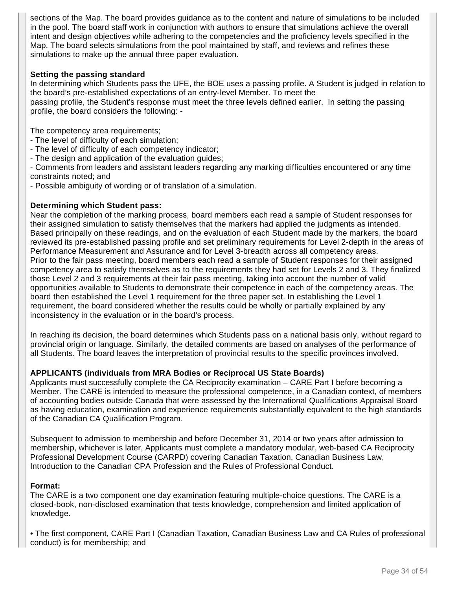sections of the Map. The board provides guidance as to the content and nature of simulations to be included in the pool. The board staff work in conjunction with authors to ensure that simulations achieve the overall intent and design objectives while adhering to the competencies and the proficiency levels specified in the Map. The board selects simulations from the pool maintained by staff, and reviews and refines these simulations to make up the annual three paper evaluation.

#### **Setting the passing standard**

In determining which Students pass the UFE, the BOE uses a passing profile. A Student is judged in relation to the board's pre-established expectations of an entry-level Member. To meet the passing profile, the Student's response must meet the three levels defined earlier. In setting the passing profile, the board considers the following: -

The competency area requirements;

- The level of difficulty of each simulation;
- The level of difficulty of each competency indicator;
- The design and application of the evaluation guides;

- Comments from leaders and assistant leaders regarding any marking difficulties encountered or any time constraints noted; and

- Possible ambiguity of wording or of translation of a simulation.

#### **Determining which Student pass:**

Near the completion of the marking process, board members each read a sample of Student responses for their assigned simulation to satisfy themselves that the markers had applied the judgments as intended. Based principally on these readings, and on the evaluation of each Student made by the markers, the board reviewed its pre-established passing profile and set preliminary requirements for Level 2-depth in the areas of Performance Measurement and Assurance and for Level 3-breadth across all competency areas. Prior to the fair pass meeting, board members each read a sample of Student responses for their assigned competency area to satisfy themselves as to the requirements they had set for Levels 2 and 3. They finalized those Level 2 and 3 requirements at their fair pass meeting, taking into account the number of valid opportunities available to Students to demonstrate their competence in each of the competency areas. The board then established the Level 1 requirement for the three paper set. In establishing the Level 1 requirement, the board considered whether the results could be wholly or partially explained by any inconsistency in the evaluation or in the board's process.

In reaching its decision, the board determines which Students pass on a national basis only, without regard to provincial origin or language. Similarly, the detailed comments are based on analyses of the performance of all Students. The board leaves the interpretation of provincial results to the specific provinces involved.

## **APPLICANTS (individuals from MRA Bodies or Reciprocal US State Boards)**

Applicants must successfully complete the CA Reciprocity examination – CARE Part I before becoming a Member. The CARE is intended to measure the professional competence, in a Canadian context, of members of accounting bodies outside Canada that were assessed by the International Qualifications Appraisal Board as having education, examination and experience requirements substantially equivalent to the high standards of the Canadian CA Qualification Program.

Subsequent to admission to membership and before December 31, 2014 or two years after admission to membership, whichever is later, Applicants must complete a mandatory modular, web-based CA Reciprocity Professional Development Course (CARPD) covering Canadian Taxation, Canadian Business Law, Introduction to the Canadian CPA Profession and the Rules of Professional Conduct.

## **Format:**

The CARE is a two component one day examination featuring multiple-choice questions. The CARE is a closed-book, non-disclosed examination that tests knowledge, comprehension and limited application of knowledge.

• The first component, CARE Part I (Canadian Taxation, Canadian Business Law and CA Rules of professional conduct) is for membership; and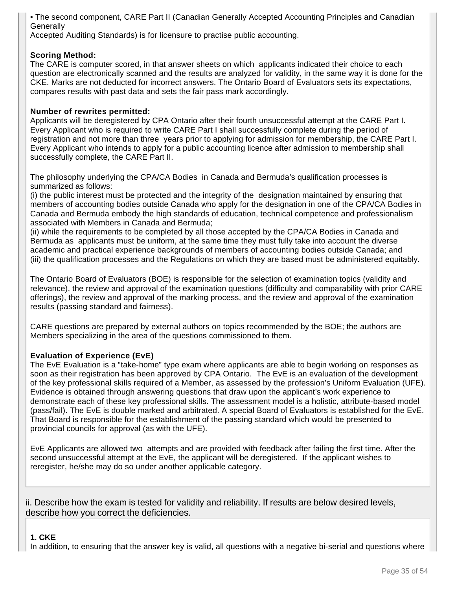• The second component, CARE Part II (Canadian Generally Accepted Accounting Principles and Canadian **Generally** 

Accepted Auditing Standards) is for licensure to practise public accounting.

## **Scoring Method:**

The CARE is computer scored, in that answer sheets on which applicants indicated their choice to each question are electronically scanned and the results are analyzed for validity, in the same way it is done for the CKE. Marks are not deducted for incorrect answers. The Ontario Board of Evaluators sets its expectations, compares results with past data and sets the fair pass mark accordingly.

#### **Number of rewrites permitted:**

Applicants will be deregistered by CPA Ontario after their fourth unsuccessful attempt at the CARE Part I. Every Applicant who is required to write CARE Part I shall successfully complete during the period of registration and not more than three years prior to applying for admission for membership, the CARE Part I. Every Applicant who intends to apply for a public accounting licence after admission to membership shall successfully complete, the CARE Part II.

The philosophy underlying the CPA/CA Bodies in Canada and Bermuda's qualification processes is summarized as follows:

(i) the public interest must be protected and the integrity of the designation maintained by ensuring that members of accounting bodies outside Canada who apply for the designation in one of the CPA/CA Bodies in Canada and Bermuda embody the high standards of education, technical competence and professionalism associated with Members in Canada and Bermuda;

(ii) while the requirements to be completed by all those accepted by the CPA/CA Bodies in Canada and Bermuda as applicants must be uniform, at the same time they must fully take into account the diverse academic and practical experience backgrounds of members of accounting bodies outside Canada; and (iii) the qualification processes and the Regulations on which they are based must be administered equitably.

The Ontario Board of Evaluators (BOE) is responsible for the selection of examination topics (validity and relevance), the review and approval of the examination questions (difficulty and comparability with prior CARE offerings), the review and approval of the marking process, and the review and approval of the examination results (passing standard and fairness).

CARE questions are prepared by external authors on topics recommended by the BOE; the authors are Members specializing in the area of the questions commissioned to them.

## **Evaluation of Experience (EvE)**

The EvE Evaluation is a "take-home" type exam where applicants are able to begin working on responses as soon as their registration has been approved by CPA Ontario. The EvE is an evaluation of the development of the key professional skills required of a Member, as assessed by the profession's Uniform Evaluation (UFE). Evidence is obtained through answering questions that draw upon the applicant's work experience to demonstrate each of these key professional skills. The assessment model is a holistic, attribute-based model (pass/fail). The EvE is double marked and arbitrated. A special Board of Evaluators is established for the EvE. That Board is responsible for the establishment of the passing standard which would be presented to provincial councils for approval (as with the UFE).

EvE Applicants are allowed two attempts and are provided with feedback after failing the first time. After the second unsuccessful attempt at the EvE, the applicant will be deregistered. If the applicant wishes to reregister, he/she may do so under another applicable category.

ii. Describe how the exam is tested for validity and reliability. If results are below desired levels, describe how you correct the deficiencies.

#### **1. CKE**

In addition, to ensuring that the answer key is valid, all questions with a negative bi-serial and questions where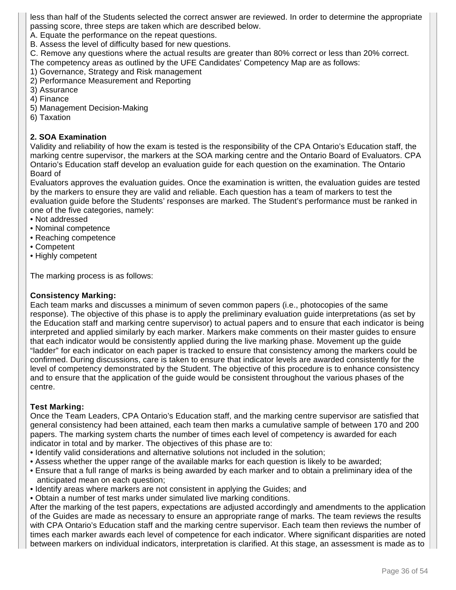less than half of the Students selected the correct answer are reviewed. In order to determine the appropriate passing score, three steps are taken which are described below.

A. Equate the performance on the repeat questions.

B. Assess the level of difficulty based for new questions.

C. Remove any questions where the actual results are greater than 80% correct or less than 20% correct. The competency areas as outlined by the UFE Candidates' Competency Map are as follows:

- 1) Governance, Strategy and Risk management
- 2) Performance Measurement and Reporting
- 3) Assurance
- 4) Finance
- 5) Management Decision-Making
- 6) Taxation

## **2. SOA Examination**

Validity and reliability of how the exam is tested is the responsibility of the CPA Ontario's Education staff, the marking centre supervisor, the markers at the SOA marking centre and the Ontario Board of Evaluators. CPA Ontario's Education staff develop an evaluation guide for each question on the examination. The Ontario Board of

Evaluators approves the evaluation guides. Once the examination is written, the evaluation guides are tested by the markers to ensure they are valid and reliable. Each question has a team of markers to test the evaluation guide before the Students' responses are marked. The Student's performance must be ranked in one of the five categories, namely:

- Not addressed
- Nominal competence
- Reaching competence
- Competent
- Highly competent

The marking process is as follows:

#### **Consistency Marking:**

Each team marks and discusses a minimum of seven common papers (i.e., photocopies of the same response). The objective of this phase is to apply the preliminary evaluation guide interpretations (as set by the Education staff and marking centre supervisor) to actual papers and to ensure that each indicator is being interpreted and applied similarly by each marker. Markers make comments on their master guides to ensure that each indicator would be consistently applied during the live marking phase. Movement up the guide "ladder" for each indicator on each paper is tracked to ensure that consistency among the markers could be confirmed. During discussions, care is taken to ensure that indicator levels are awarded consistently for the level of competency demonstrated by the Student. The objective of this procedure is to enhance consistency and to ensure that the application of the guide would be consistent throughout the various phases of the centre.

## **Test Marking:**

Once the Team Leaders, CPA Ontario's Education staff, and the marking centre supervisor are satisfied that general consistency had been attained, each team then marks a cumulative sample of between 170 and 200 papers. The marking system charts the number of times each level of competency is awarded for each indicator in total and by marker. The objectives of this phase are to:

- Identify valid considerations and alternative solutions not included in the solution;
- Assess whether the upper range of the available marks for each question is likely to be awarded;
- Ensure that a full range of marks is being awarded by each marker and to obtain a preliminary idea of the anticipated mean on each question;
- Identify areas where markers are not consistent in applying the Guides; and
- Obtain a number of test marks under simulated live marking conditions.

After the marking of the test papers, expectations are adjusted accordingly and amendments to the application of the Guides are made as necessary to ensure an appropriate range of marks. The team reviews the results with CPA Ontario's Education staff and the marking centre supervisor. Each team then reviews the number of times each marker awards each level of competence for each indicator. Where significant disparities are noted between markers on individual indicators, interpretation is clarified. At this stage, an assessment is made as to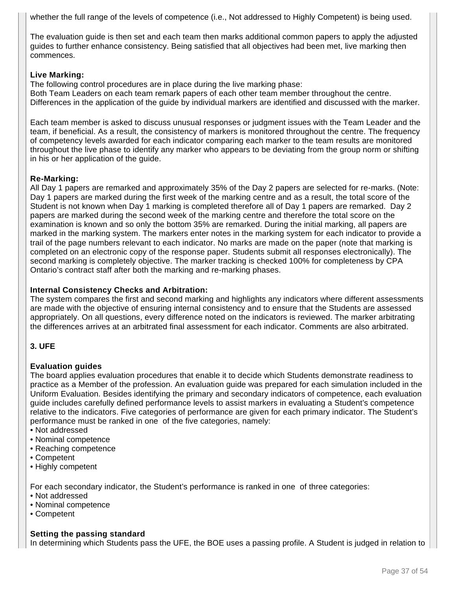whether the full range of the levels of competence (i.e., Not addressed to Highly Competent) is being used.

The evaluation guide is then set and each team then marks additional common papers to apply the adjusted guides to further enhance consistency. Being satisfied that all objectives had been met, live marking then commences.

#### **Live Marking:**

The following control procedures are in place during the live marking phase: Both Team Leaders on each team remark papers of each other team member throughout the centre. Differences in the application of the guide by individual markers are identified and discussed with the marker.

Each team member is asked to discuss unusual responses or judgment issues with the Team Leader and the team, if beneficial. As a result, the consistency of markers is monitored throughout the centre. The frequency of competency levels awarded for each indicator comparing each marker to the team results are monitored throughout the live phase to identify any marker who appears to be deviating from the group norm or shifting in his or her application of the guide.

## **Re-Marking:**

All Day 1 papers are remarked and approximately 35% of the Day 2 papers are selected for re-marks. (Note: Day 1 papers are marked during the first week of the marking centre and as a result, the total score of the Student is not known when Day 1 marking is completed therefore all of Day 1 papers are remarked. Day 2 papers are marked during the second week of the marking centre and therefore the total score on the examination is known and so only the bottom 35% are remarked. During the initial marking, all papers are marked in the marking system. The markers enter notes in the marking system for each indicator to provide a trail of the page numbers relevant to each indicator. No marks are made on the paper (note that marking is completed on an electronic copy of the response paper. Students submit all responses electronically). The second marking is completely objective. The marker tracking is checked 100% for completeness by CPA Ontario's contract staff after both the marking and re-marking phases.

#### **Internal Consistency Checks and Arbitration:**

The system compares the first and second marking and highlights any indicators where different assessments are made with the objective of ensuring internal consistency and to ensure that the Students are assessed appropriately. On all questions, every difference noted on the indicators is reviewed. The marker arbitrating the differences arrives at an arbitrated final assessment for each indicator. Comments are also arbitrated.

## **3. UFE**

## **Evaluation guides**

The board applies evaluation procedures that enable it to decide which Students demonstrate readiness to practice as a Member of the profession. An evaluation guide was prepared for each simulation included in the Uniform Evaluation. Besides identifying the primary and secondary indicators of competence, each evaluation guide includes carefully defined performance levels to assist markers in evaluating a Student's competence relative to the indicators. Five categories of performance are given for each primary indicator. The Student's performance must be ranked in one of the five categories, namely:

- Not addressed
- Nominal competence
- Reaching competence
- Competent
- Highly competent

For each secondary indicator, the Student's performance is ranked in one of three categories:

- Not addressed
- Nominal competence
- Competent

## **Setting the passing standard**

In determining which Students pass the UFE, the BOE uses a passing profile. A Student is judged in relation to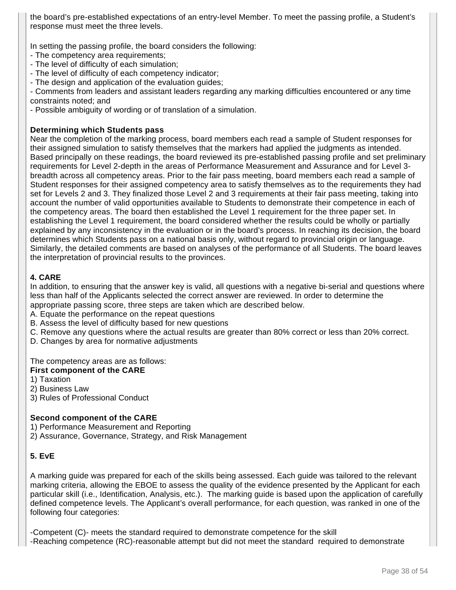the board's pre-established expectations of an entry-level Member. To meet the passing profile, a Student's response must meet the three levels.

In setting the passing profile, the board considers the following:

- The competency area requirements;
- The level of difficulty of each simulation;
- The level of difficulty of each competency indicator;
- The design and application of the evaluation guides;

- Comments from leaders and assistant leaders regarding any marking difficulties encountered or any time constraints noted; and

- Possible ambiguity of wording or of translation of a simulation.

#### **Determining which Students pass**

Near the completion of the marking process, board members each read a sample of Student responses for their assigned simulation to satisfy themselves that the markers had applied the judgments as intended. Based principally on these readings, the board reviewed its pre-established passing profile and set preliminary requirements for Level 2-depth in the areas of Performance Measurement and Assurance and for Level 3 breadth across all competency areas. Prior to the fair pass meeting, board members each read a sample of Student responses for their assigned competency area to satisfy themselves as to the requirements they had set for Levels 2 and 3. They finalized those Level 2 and 3 requirements at their fair pass meeting, taking into account the number of valid opportunities available to Students to demonstrate their competence in each of the competency areas. The board then established the Level 1 requirement for the three paper set. In establishing the Level 1 requirement, the board considered whether the results could be wholly or partially explained by any inconsistency in the evaluation or in the board's process. In reaching its decision, the board determines which Students pass on a national basis only, without regard to provincial origin or language. Similarly, the detailed comments are based on analyses of the performance of all Students. The board leaves the interpretation of provincial results to the provinces.

#### **4. CARE**

In addition, to ensuring that the answer key is valid, all questions with a negative bi-serial and questions where less than half of the Applicants selected the correct answer are reviewed. In order to determine the appropriate passing score, three steps are taken which are described below.

- A. Equate the performance on the repeat questions
- B. Assess the level of difficulty based for new questions
- C. Remove any questions where the actual results are greater than 80% correct or less than 20% correct.
- D. Changes by area for normative adjustments

The competency areas are as follows:

#### **First component of the CARE**

1) Taxation

- 2) Business Law
- 3) Rules of Professional Conduct

## **Second component of the CARE**

1) Performance Measurement and Reporting

2) Assurance, Governance, Strategy, and Risk Management

## **5. EvE**

A marking guide was prepared for each of the skills being assessed. Each guide was tailored to the relevant marking criteria, allowing the EBOE to assess the quality of the evidence presented by the Applicant for each particular skill (i.e., Identification, Analysis, etc.). The marking guide is based upon the application of carefully defined competence levels. The Applicant's overall performance, for each question, was ranked in one of the following four categories:

-Competent (C)- meets the standard required to demonstrate competence for the skill -Reaching competence (RC)-reasonable attempt but did not meet the standard required to demonstrate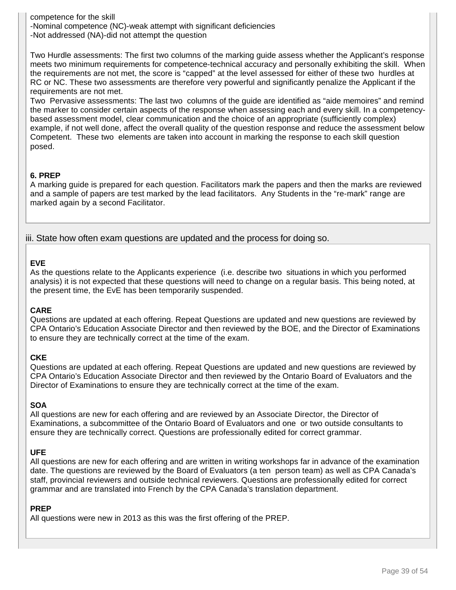competence for the skill -Nominal competence (NC)-weak attempt with significant deficiencies -Not addressed (NA)-did not attempt the question

Two Hurdle assessments: The first two columns of the marking guide assess whether the Applicant's response meets two minimum requirements for competence-technical accuracy and personally exhibiting the skill. When the requirements are not met, the score is "capped" at the level assessed for either of these two hurdles at RC or NC. These two assessments are therefore very powerful and significantly penalize the Applicant if the requirements are not met.

Two Pervasive assessments: The last two columns of the guide are identified as "aide memoires" and remind the marker to consider certain aspects of the response when assessing each and every skill. In a competencybased assessment model, clear communication and the choice of an appropriate (sufficiently complex) example, if not well done, affect the overall quality of the question response and reduce the assessment below Competent. These two elements are taken into account in marking the response to each skill question posed.

## **6. PREP**

A marking guide is prepared for each question. Facilitators mark the papers and then the marks are reviewed and a sample of papers are test marked by the lead facilitators. Any Students in the "re-mark" range are marked again by a second Facilitator.

iii. State how often exam questions are updated and the process for doing so.

#### **EVE**

As the questions relate to the Applicants experience (i.e. describe two situations in which you performed analysis) it is not expected that these questions will need to change on a regular basis. This being noted, at the present time, the EvE has been temporarily suspended.

#### **CARE**

Questions are updated at each offering. Repeat Questions are updated and new questions are reviewed by CPA Ontario's Education Associate Director and then reviewed by the BOE, and the Director of Examinations to ensure they are technically correct at the time of the exam.

## **CKE**

Questions are updated at each offering. Repeat Questions are updated and new questions are reviewed by CPA Ontario's Education Associate Director and then reviewed by the Ontario Board of Evaluators and the Director of Examinations to ensure they are technically correct at the time of the exam.

## **SOA**

All questions are new for each offering and are reviewed by an Associate Director, the Director of Examinations, a subcommittee of the Ontario Board of Evaluators and one or two outside consultants to ensure they are technically correct. Questions are professionally edited for correct grammar.

## **UFE**

All questions are new for each offering and are written in writing workshops far in advance of the examination date. The questions are reviewed by the Board of Evaluators (a ten person team) as well as CPA Canada's staff, provincial reviewers and outside technical reviewers. Questions are professionally edited for correct grammar and are translated into French by the CPA Canada's translation department.

#### **PREP**

All questions were new in 2013 as this was the first offering of the PREP.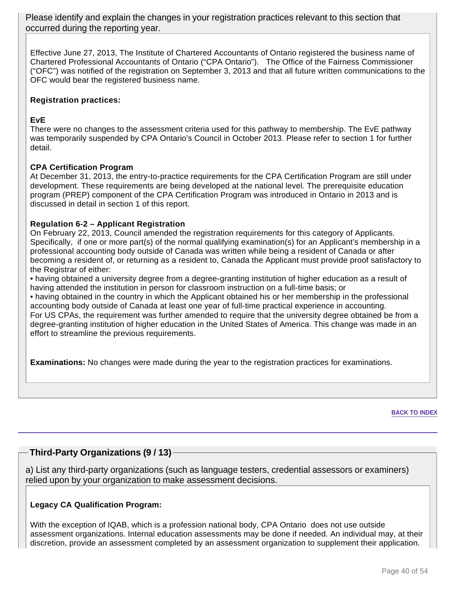Please identify and explain the changes in your registration practices relevant to this section that occurred during the reporting year.

Effective June 27, 2013, The Institute of Chartered Accountants of Ontario registered the business name of Chartered Professional Accountants of Ontario ("CPA Ontario"). The Office of the Fairness Commissioner ("OFC") was notified of the registration on September 3, 2013 and that all future written communications to the OFC would bear the registered business name.

## **Registration practices:**

## **EvE**

There were no changes to the assessment criteria used for this pathway to membership. The EvE pathway was temporarily suspended by CPA Ontario's Council in October 2013. Please refer to section 1 for further detail.

## **CPA Certification Program**

At December 31, 2013, the entry-to-practice requirements for the CPA Certification Program are still under development. These requirements are being developed at the national level. The prerequisite education program (PREP) component of the CPA Certification Program was introduced in Ontario in 2013 and is discussed in detail in section 1 of this report.

## **Regulation 6-2 – Applicant Registration**

On February 22, 2013, Council amended the registration requirements for this category of Applicants. Specifically, if one or more part(s) of the normal qualifying examination(s) for an Applicant's membership in a professional accounting body outside of Canada was written while being a resident of Canada or after becoming a resident of, or returning as a resident to, Canada the Applicant must provide proof satisfactory to the Registrar of either:

• having obtained a university degree from a degree-granting institution of higher education as a result of having attended the institution in person for classroom instruction on a full-time basis; or

• having obtained in the country in which the Applicant obtained his or her membership in the professional accounting body outside of Canada at least one year of full-time practical experience in accounting. For US CPAs, the requirement was further amended to require that the university degree obtained be from a degree-granting institution of higher education in the United States of America. This change was made in an effort to streamline the previous requirements.

**Examinations:** No changes were made during the year to the registration practices for examinations.

**BACK TO INDEX**

## **Third-Party Organizations (9 / 13)**

a) List any third-party organizations (such as language testers, credential assessors or examiners) relied upon by your organization to make assessment decisions.

## **Legacy CA Qualification Program:**

With the exception of IQAB, which is a profession national body, CPA Ontario does not use outside assessment organizations. Internal education assessments may be done if needed. An individual may, at their discretion, provide an assessment completed by an assessment organization to supplement their application.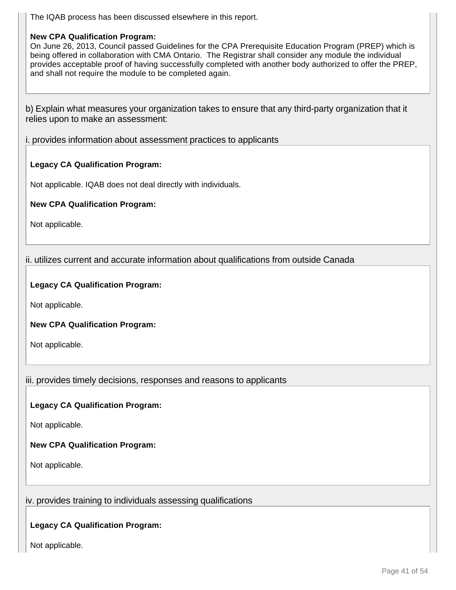The IQAB process has been discussed elsewhere in this report.

#### **New CPA Qualification Program:**

On June 26, 2013, Council passed Guidelines for the CPA Prerequisite Education Program (PREP) which is being offered in collaboration with CMA Ontario. The Registrar shall consider any module the individual provides acceptable proof of having successfully completed with another body authorized to offer the PREP, and shall not require the module to be completed again.

b) Explain what measures your organization takes to ensure that any third-party organization that it relies upon to make an assessment:

i. provides information about assessment practices to applicants

#### **Legacy CA Qualification Program:**

Not applicable. IQAB does not deal directly with individuals.

**New CPA Qualification Program:**

Not applicable.

ii. utilizes current and accurate information about qualifications from outside Canada

**Legacy CA Qualification Program:**

Not applicable.

**New CPA Qualification Program:**

Not applicable.

iii. provides timely decisions, responses and reasons to applicants

#### **Legacy CA Qualification Program:**

Not applicable.

#### **New CPA Qualification Program:**

Not applicable.

iv. provides training to individuals assessing qualifications

**Legacy CA Qualification Program:**

Not applicable.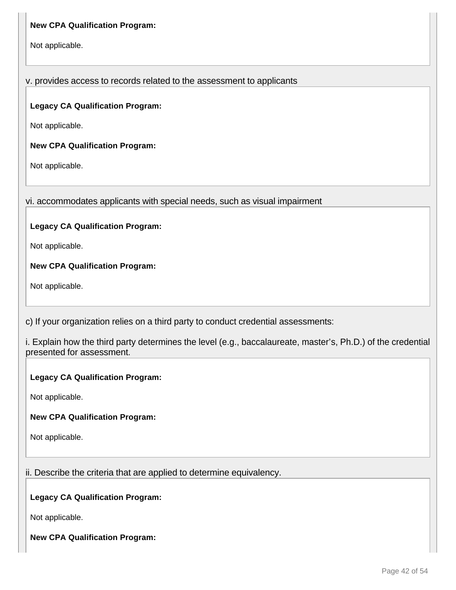## **New CPA Qualification Program:**

Not applicable.

## v. provides access to records related to the assessment to applicants

## **Legacy CA Qualification Program:**

Not applicable.

**New CPA Qualification Program:**

Not applicable.

vi. accommodates applicants with special needs, such as visual impairment

## **Legacy CA Qualification Program:**

Not applicable.

**New CPA Qualification Program:**

Not applicable.

c) If your organization relies on a third party to conduct credential assessments:

i. Explain how the third party determines the level (e.g., baccalaureate, master's, Ph.D.) of the credential presented for assessment.

## **Legacy CA Qualification Program:**

Not applicable.

## **New CPA Qualification Program:**

Not applicable.

## ii. Describe the criteria that are applied to determine equivalency.

## **Legacy CA Qualification Program:**

Not applicable.

## **New CPA Qualification Program:**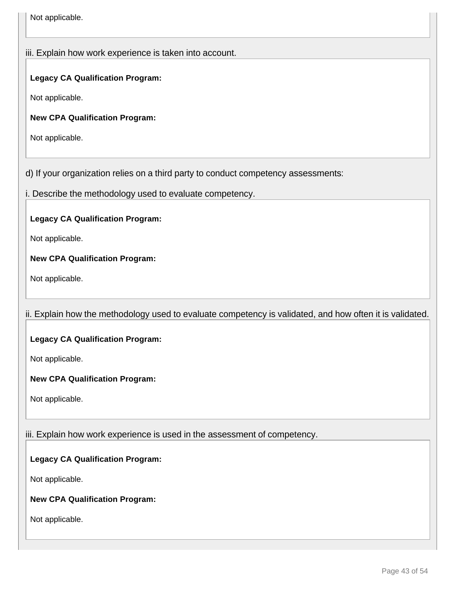Not applicable.

## iii. Explain how work experience is taken into account.

## **Legacy CA Qualification Program:**

Not applicable.

**New CPA Qualification Program:**

Not applicable.

d) If your organization relies on a third party to conduct competency assessments:

i. Describe the methodology used to evaluate competency.

**Legacy CA Qualification Program:**

Not applicable.

**New CPA Qualification Program:**

Not applicable.

## ii. Explain how the methodology used to evaluate competency is validated, and how often it is validated.

## **Legacy CA Qualification Program:**

Not applicable.

**New CPA Qualification Program:**

Not applicable.

## iii. Explain how work experience is used in the assessment of competency.

## **Legacy CA Qualification Program:**

Not applicable.

## **New CPA Qualification Program:**

Not applicable.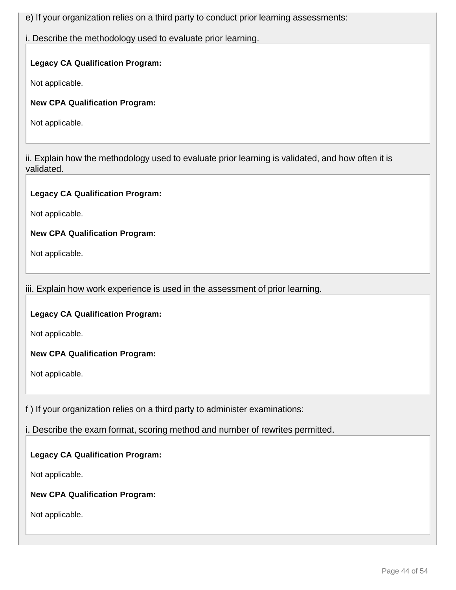e) If your organization relies on a third party to conduct prior learning assessments:

i. Describe the methodology used to evaluate prior learning.

## **Legacy CA Qualification Program:**

Not applicable.

**New CPA Qualification Program:**

Not applicable.

ii. Explain how the methodology used to evaluate prior learning is validated, and how often it is validated.

## **Legacy CA Qualification Program:**

Not applicable.

**New CPA Qualification Program:**

Not applicable.

iii. Explain how work experience is used in the assessment of prior learning.

**Legacy CA Qualification Program:**

Not applicable.

**New CPA Qualification Program:**

Not applicable.

f ) If your organization relies on a third party to administer examinations:

i. Describe the exam format, scoring method and number of rewrites permitted.

**Legacy CA Qualification Program:**

Not applicable.

**New CPA Qualification Program:**

Not applicable.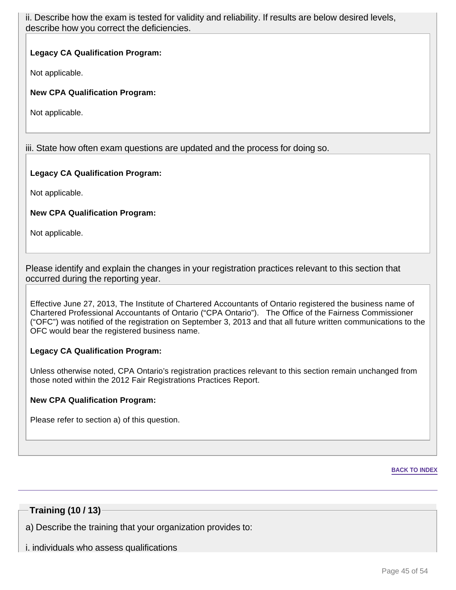ii. Describe how the exam is tested for validity and reliability. If results are below desired levels, describe how you correct the deficiencies.

## **Legacy CA Qualification Program:**

Not applicable.

**New CPA Qualification Program:**

Not applicable.

iii. State how often exam questions are updated and the process for doing so.

#### **Legacy CA Qualification Program:**

Not applicable.

## **New CPA Qualification Program:**

Not applicable.

Please identify and explain the changes in your registration practices relevant to this section that occurred during the reporting year.

Effective June 27, 2013, The Institute of Chartered Accountants of Ontario registered the business name of Chartered Professional Accountants of Ontario ("CPA Ontario"). The Office of the Fairness Commissioner ("OFC") was notified of the registration on September 3, 2013 and that all future written communications to the OFC would bear the registered business name.

## **Legacy CA Qualification Program:**

Unless otherwise noted, CPA Ontario's registration practices relevant to this section remain unchanged from those noted within the 2012 Fair Registrations Practices Report.

## **New CPA Qualification Program:**

Please refer to section a) of this question.

#### **BACK TO INDEX**

## **Training (10 / 13)**

a) Describe the training that your organization provides to:

i. individuals who assess qualifications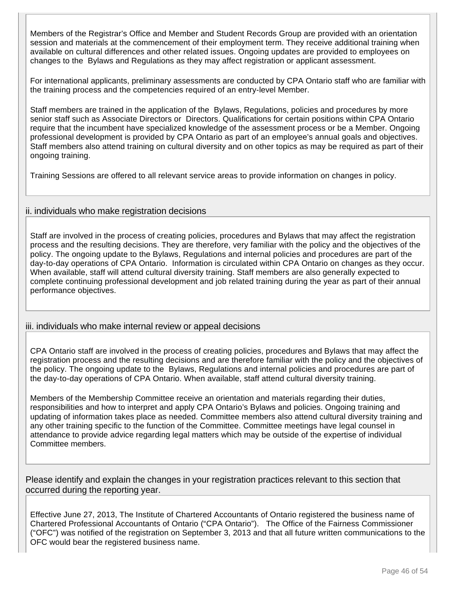Members of the Registrar's Office and Member and Student Records Group are provided with an orientation session and materials at the commencement of their employment term. They receive additional training when available on cultural differences and other related issues. Ongoing updates are provided to employees on changes to the Bylaws and Regulations as they may affect registration or applicant assessment.

For international applicants, preliminary assessments are conducted by CPA Ontario staff who are familiar with the training process and the competencies required of an entry-level Member.

Staff members are trained in the application of the Bylaws, Regulations, policies and procedures by more senior staff such as Associate Directors or Directors. Qualifications for certain positions within CPA Ontario require that the incumbent have specialized knowledge of the assessment process or be a Member. Ongoing professional development is provided by CPA Ontario as part of an employee's annual goals and objectives. Staff members also attend training on cultural diversity and on other topics as may be required as part of their ongoing training.

Training Sessions are offered to all relevant service areas to provide information on changes in policy.

## ii. individuals who make registration decisions

Staff are involved in the process of creating policies, procedures and Bylaws that may affect the registration process and the resulting decisions. They are therefore, very familiar with the policy and the objectives of the policy. The ongoing update to the Bylaws, Regulations and internal policies and procedures are part of the day-to-day operations of CPA Ontario. Information is circulated within CPA Ontario on changes as they occur. When available, staff will attend cultural diversity training. Staff members are also generally expected to complete continuing professional development and job related training during the year as part of their annual performance objectives.

## iii. individuals who make internal review or appeal decisions

CPA Ontario staff are involved in the process of creating policies, procedures and Bylaws that may affect the registration process and the resulting decisions and are therefore familiar with the policy and the objectives of the policy. The ongoing update to the Bylaws, Regulations and internal policies and procedures are part of the day-to-day operations of CPA Ontario. When available, staff attend cultural diversity training.

Members of the Membership Committee receive an orientation and materials regarding their duties, responsibilities and how to interpret and apply CPA Ontario's Bylaws and policies. Ongoing training and updating of information takes place as needed. Committee members also attend cultural diversity training and any other training specific to the function of the Committee. Committee meetings have legal counsel in attendance to provide advice regarding legal matters which may be outside of the expertise of individual Committee members.

Please identify and explain the changes in your registration practices relevant to this section that occurred during the reporting year.

Effective June 27, 2013, The Institute of Chartered Accountants of Ontario registered the business name of Chartered Professional Accountants of Ontario ("CPA Ontario"). The Office of the Fairness Commissioner ("OFC") was notified of the registration on September 3, 2013 and that all future written communications to the OFC would bear the registered business name.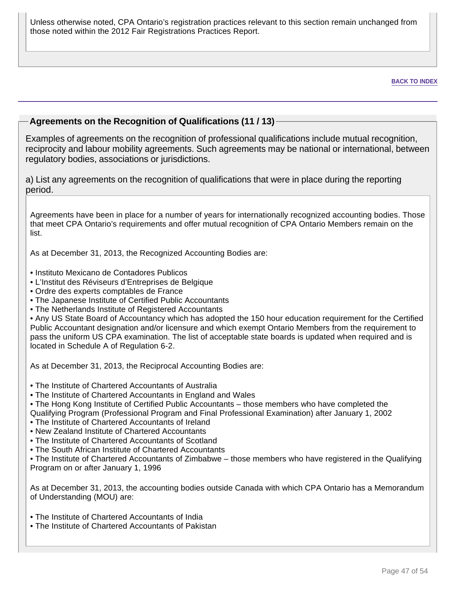Unless otherwise noted, CPA Ontario's registration practices relevant to this section remain unchanged from those noted within the 2012 Fair Registrations Practices Report.

#### **BACK TO INDEX**

## **Agreements on the Recognition of Qualifications (11 / 13)**

Examples of agreements on the recognition of professional qualifications include mutual recognition, reciprocity and labour mobility agreements. Such agreements may be national or international, between regulatory bodies, associations or jurisdictions.

a) List any agreements on the recognition of qualifications that were in place during the reporting period.

Agreements have been in place for a number of years for internationally recognized accounting bodies. Those that meet CPA Ontario's requirements and offer mutual recognition of CPA Ontario Members remain on the list.

As at December 31, 2013, the Recognized Accounting Bodies are:

- Instituto Mexicano de Contadores Publicos
- L'Institut des Réviseurs d'Entreprises de Belgique
- Ordre des experts comptables de France
- The Japanese Institute of Certified Public Accountants
- The Netherlands Institute of Registered Accountants

• Any US State Board of Accountancy which has adopted the 150 hour education requirement for the Certified Public Accountant designation and/or licensure and which exempt Ontario Members from the requirement to pass the uniform US CPA examination. The list of acceptable state boards is updated when required and is located in Schedule A of Regulation 6-2.

As at December 31, 2013, the Reciprocal Accounting Bodies are:

- The Institute of Chartered Accountants of Australia
- The Institute of Chartered Accountants in England and Wales
- The Hong Kong Institute of Certified Public Accountants those members who have completed the Qualifying Program (Professional Program and Final Professional Examination) after January 1, 2002
- The Institute of Chartered Accountants of Ireland
- New Zealand Institute of Chartered Accountants
- The Institute of Chartered Accountants of Scotland
- The South African Institute of Chartered Accountants

• The Institute of Chartered Accountants of Zimbabwe – those members who have registered in the Qualifying Program on or after January 1, 1996

As at December 31, 2013, the accounting bodies outside Canada with which CPA Ontario has a Memorandum of Understanding (MOU) are:

- The Institute of Chartered Accountants of India
- The Institute of Chartered Accountants of Pakistan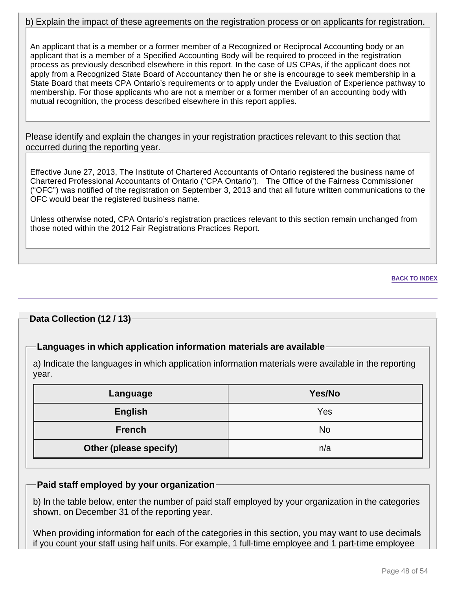## b) Explain the impact of these agreements on the registration process or on applicants for registration.

An applicant that is a member or a former member of a Recognized or Reciprocal Accounting body or an applicant that is a member of a Specified Accounting Body will be required to proceed in the registration process as previously described elsewhere in this report. In the case of US CPAs, if the applicant does not apply from a Recognized State Board of Accountancy then he or she is encourage to seek membership in a State Board that meets CPA Ontario's requirements or to apply under the Evaluation of Experience pathway to membership. For those applicants who are not a member or a former member of an accounting body with mutual recognition, the process described elsewhere in this report applies.

Please identify and explain the changes in your registration practices relevant to this section that occurred during the reporting year.

Effective June 27, 2013, The Institute of Chartered Accountants of Ontario registered the business name of Chartered Professional Accountants of Ontario ("CPA Ontario"). The Office of the Fairness Commissioner ("OFC") was notified of the registration on September 3, 2013 and that all future written communications to the OFC would bear the registered business name.

Unless otherwise noted, CPA Ontario's registration practices relevant to this section remain unchanged from those noted within the 2012 Fair Registrations Practices Report.

#### **BACK TO INDEX**

## **Data Collection (12 / 13)**

## **Languages in which application information materials are available**

a) Indicate the languages in which application information materials were available in the reporting year.

| Language               | Yes/No |
|------------------------|--------|
| <b>English</b>         | Yes    |
| <b>French</b>          | No     |
| Other (please specify) | n/a    |

## **Paid staff employed by your organization**

b) In the table below, enter the number of paid staff employed by your organization in the categories shown, on December 31 of the reporting year.

When providing information for each of the categories in this section, you may want to use decimals if you count your staff using half units. For example, 1 full-time employee and 1 part-time employee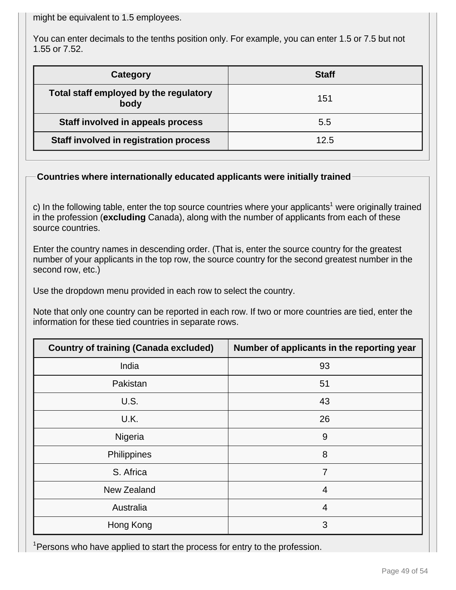might be equivalent to 1.5 employees.

You can enter decimals to the tenths position only. For example, you can enter 1.5 or 7.5 but not 1.55 or 7.52.

| Category                                       | <b>Staff</b> |
|------------------------------------------------|--------------|
| Total staff employed by the regulatory<br>body | 151          |
| Staff involved in appeals process              | 5.5          |
| Staff involved in registration process         | 12.5         |

## **Countries where internationally educated applicants were initially trained**

c) In the following table, enter the top source countries where your applicants<sup>1</sup> were originally trained in the profession (**excluding** Canada), along with the number of applicants from each of these source countries.

Enter the country names in descending order. (That is, enter the source country for the greatest number of your applicants in the top row, the source country for the second greatest number in the second row, etc.)

Use the dropdown menu provided in each row to select the country.

Note that only one country can be reported in each row. If two or more countries are tied, enter the information for these tied countries in separate rows.

| <b>Country of training (Canada excluded)</b> | Number of applicants in the reporting year |
|----------------------------------------------|--------------------------------------------|
| India                                        | 93                                         |
| Pakistan                                     | 51                                         |
| U.S.                                         | 43                                         |
| U.K.                                         | 26                                         |
| Nigeria                                      | 9                                          |
| Philippines                                  | 8                                          |
| S. Africa                                    | $\overline{7}$                             |
| New Zealand                                  | $\overline{4}$                             |
| Australia                                    | $\overline{4}$                             |
| Hong Kong                                    | 3                                          |

<sup>1</sup> Persons who have applied to start the process for entry to the profession.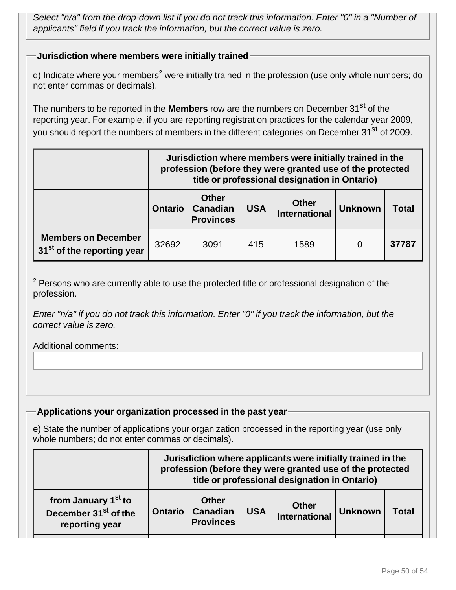Select "n/a" from the drop-down list if you do not track this information. Enter "0" in a "Number of applicants" field if you track the information, but the correct value is zero.

## **Jurisdiction where members were initially trained**

d) Indicate where your members<sup>2</sup> were initially trained in the profession (use only whole numbers; do not enter commas or decimals).

The numbers to be reported in the **Members** row are the numbers on December 31<sup>st</sup> of the reporting year. For example, if you are reporting registration practices for the calendar year 2009, you should report the numbers of members in the different categories on December 31<sup>st</sup> of 2009.

|                                                                      | Jurisdiction where members were initially trained in the<br>profession (before they were granted use of the protected<br>title or professional designation in Ontario) |      |     |      |   |       |
|----------------------------------------------------------------------|------------------------------------------------------------------------------------------------------------------------------------------------------------------------|------|-----|------|---|-------|
|                                                                      | <b>Other</b><br><b>Other</b><br><b>Canadian</b><br><b>USA</b><br><b>Ontario</b><br><b>Unknown</b><br><b>Total</b><br><b>International</b><br><b>Provinces</b>          |      |     |      |   |       |
| <b>Members on December</b><br>31 <sup>st</sup> of the reporting year | 32692                                                                                                                                                                  | 3091 | 415 | 1589 | 0 | 37787 |

 $2$  Persons who are currently able to use the protected title or professional designation of the profession.

Enter "n/a" if you do not track this information. Enter "0" if you track the information, but the correct value is zero.

## Additional comments:

## **Applications your organization processed in the past year**

e) State the number of applications your organization processed in the reporting year (use only whole numbers; do not enter commas or decimals).

|                                                                                       | Jurisdiction where applicants were initially trained in the<br>profession (before they were granted use of the protected<br>title or professional designation in Ontario) |                                                     |            |                               |                |       |
|---------------------------------------------------------------------------------------|---------------------------------------------------------------------------------------------------------------------------------------------------------------------------|-----------------------------------------------------|------------|-------------------------------|----------------|-------|
| from January 1 <sup>st</sup> to<br>December 31 <sup>st</sup> of the<br>reporting year | <b>Ontario</b>                                                                                                                                                            | <b>Other</b><br><b>Canadian</b><br><b>Provinces</b> | <b>USA</b> | <b>Other</b><br>International | <b>Unknown</b> | Total |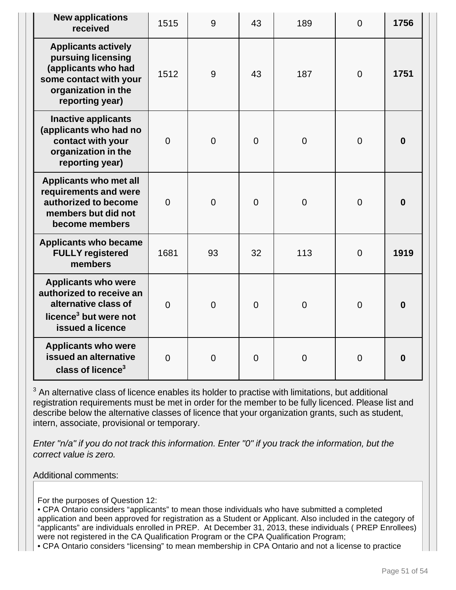| <b>New applications</b><br>received                                                                                                         | 1515           | 9              | 43       | 189            | $\overline{0}$ | 1756             |
|---------------------------------------------------------------------------------------------------------------------------------------------|----------------|----------------|----------|----------------|----------------|------------------|
| <b>Applicants actively</b><br>pursuing licensing<br>(applicants who had<br>some contact with your<br>organization in the<br>reporting year) | 1512           | 9              | 43       | 187            | $\overline{0}$ | 1751             |
| <b>Inactive applicants</b><br>(applicants who had no<br>contact with your<br>organization in the<br>reporting year)                         | $\overline{0}$ | $\overline{0}$ | $\Omega$ | $\overline{0}$ | $\overline{0}$ | $\boldsymbol{0}$ |
| Applicants who met all<br>requirements and were<br>authorized to become<br>members but did not<br>become members                            | $\Omega$       | $\overline{0}$ | $\Omega$ | $\overline{0}$ | $\overline{0}$ | $\bf{0}$         |
| <b>Applicants who became</b><br><b>FULLY registered</b><br>members                                                                          | 1681           | 93             | 32       | 113            | $\overline{0}$ | 1919             |
| <b>Applicants who were</b><br>authorized to receive an<br>alternative class of<br>licence <sup>3</sup> but were not<br>issued a licence     | $\Omega$       | $\overline{0}$ | $\Omega$ | $\overline{0}$ | $\overline{0}$ | $\boldsymbol{0}$ |
| <b>Applicants who were</b><br>issued an alternative<br>class of licence <sup>3</sup>                                                        | $\overline{0}$ | $\overline{0}$ | $\Omega$ | $\overline{0}$ | $\overline{0}$ | $\boldsymbol{0}$ |

 $3$  An alternative class of licence enables its holder to practise with limitations, but additional registration requirements must be met in order for the member to be fully licenced. Please list and describe below the alternative classes of licence that your organization grants, such as student, intern, associate, provisional or temporary.

Enter "n/a" if you do not track this information. Enter "0" if you track the information, but the correct value is zero.

## Additional comments:

For the purposes of Question 12:

• CPA Ontario considers "applicants" to mean those individuals who have submitted a completed application and been approved for registration as a Student or Applicant. Also included in the category of "applicants" are individuals enrolled in PREP. At December 31, 2013, these individuals ( PREP Enrollees) were not registered in the CA Qualification Program or the CPA Qualification Program;

• CPA Ontario considers "licensing" to mean membership in CPA Ontario and not a license to practice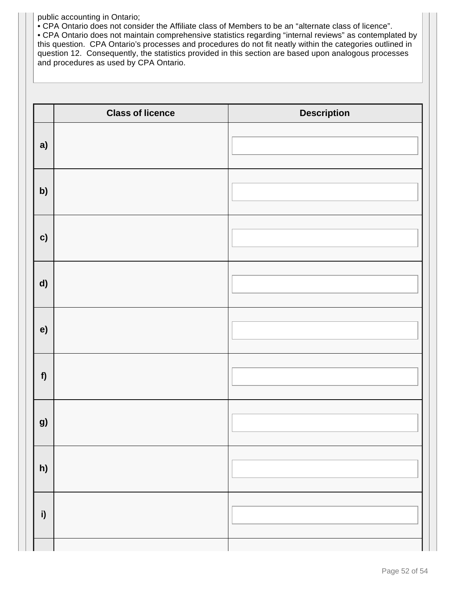public accounting in Ontario;

• CPA Ontario does not consider the Affiliate class of Members to be an "alternate class of licence".

• CPA Ontario does not maintain comprehensive statistics regarding "internal reviews" as contemplated by this question. CPA Ontario's processes and procedures do not fit neatly within the categories outlined in question 12. Consequently, the statistics provided in this section are based upon analogous processes and procedures as used by CPA Ontario.

|              | <b>Class of licence</b> | <b>Description</b> |
|--------------|-------------------------|--------------------|
| a)           |                         |                    |
| b)           |                         |                    |
| c)           |                         |                    |
| d)           |                         |                    |
| e)           |                         |                    |
| f            |                         |                    |
| g)           |                         |                    |
| h)           |                         |                    |
| $\mathsf{i}$ |                         |                    |
|              |                         |                    |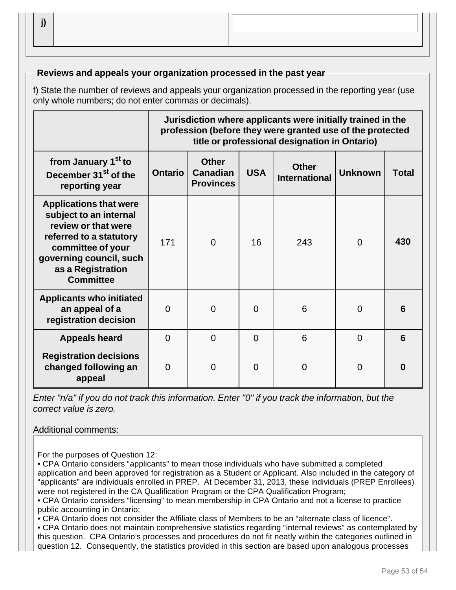## **Reviews and appeals your organization processed in the past year**

f) State the number of reviews and appeals your organization processed in the reporting year (use only whole numbers; do not enter commas or decimals).

|                                                                                                                                                                                                    | Jurisdiction where applicants were initially trained in the<br>profession (before they were granted use of the protected<br>title or professional designation in Ontario) |                |          |                |                |          |
|----------------------------------------------------------------------------------------------------------------------------------------------------------------------------------------------------|---------------------------------------------------------------------------------------------------------------------------------------------------------------------------|----------------|----------|----------------|----------------|----------|
| from January 1 <sup>st</sup> to<br>December 31 <sup>st</sup> of the<br>reporting year                                                                                                              | <b>Other</b><br><b>Other</b><br><b>Canadian</b><br><b>USA</b><br><b>Unknown</b><br><b>Ontario</b><br><b>Total</b><br><b>International</b><br><b>Provinces</b>             |                |          |                |                |          |
| <b>Applications that were</b><br>subject to an internal<br>review or that were<br>referred to a statutory<br>committee of your<br>governing council, such<br>as a Registration<br><b>Committee</b> | 171                                                                                                                                                                       | $\overline{0}$ | 16       | 243            | $\overline{0}$ | 430      |
| <b>Applicants who initiated</b><br>an appeal of a<br>registration decision                                                                                                                         | $\Omega$                                                                                                                                                                  | 0              | $\Omega$ | 6              | $\overline{0}$ | 6        |
| <b>Appeals heard</b>                                                                                                                                                                               | $\Omega$                                                                                                                                                                  | $\Omega$       | $\Omega$ | 6              | $\Omega$       | 6        |
| <b>Registration decisions</b><br>changed following an<br>appeal                                                                                                                                    | $\Omega$                                                                                                                                                                  | 0              | $\Omega$ | $\overline{0}$ | 0              | $\bf{0}$ |

Enter "n/a" if you do not track this information. Enter "0" if you track the information, but the correct value is zero.

## Additional comments:

For the purposes of Question 12:

• CPA Ontario considers "applicants" to mean those individuals who have submitted a completed application and been approved for registration as a Student or Applicant. Also included in the category of "applicants" are individuals enrolled in PREP. At December 31, 2013, these individuals (PREP Enrollees) were not registered in the CA Qualification Program or the CPA Qualification Program;

• CPA Ontario considers "licensing" to mean membership in CPA Ontario and not a license to practice public accounting in Ontario;

• CPA Ontario does not consider the Affiliate class of Members to be an "alternate class of licence".

• CPA Ontario does not maintain comprehensive statistics regarding "internal reviews" as contemplated by this question. CPA Ontario's processes and procedures do not fit neatly within the categories outlined in question 12. Consequently, the statistics provided in this section are based upon analogous processes